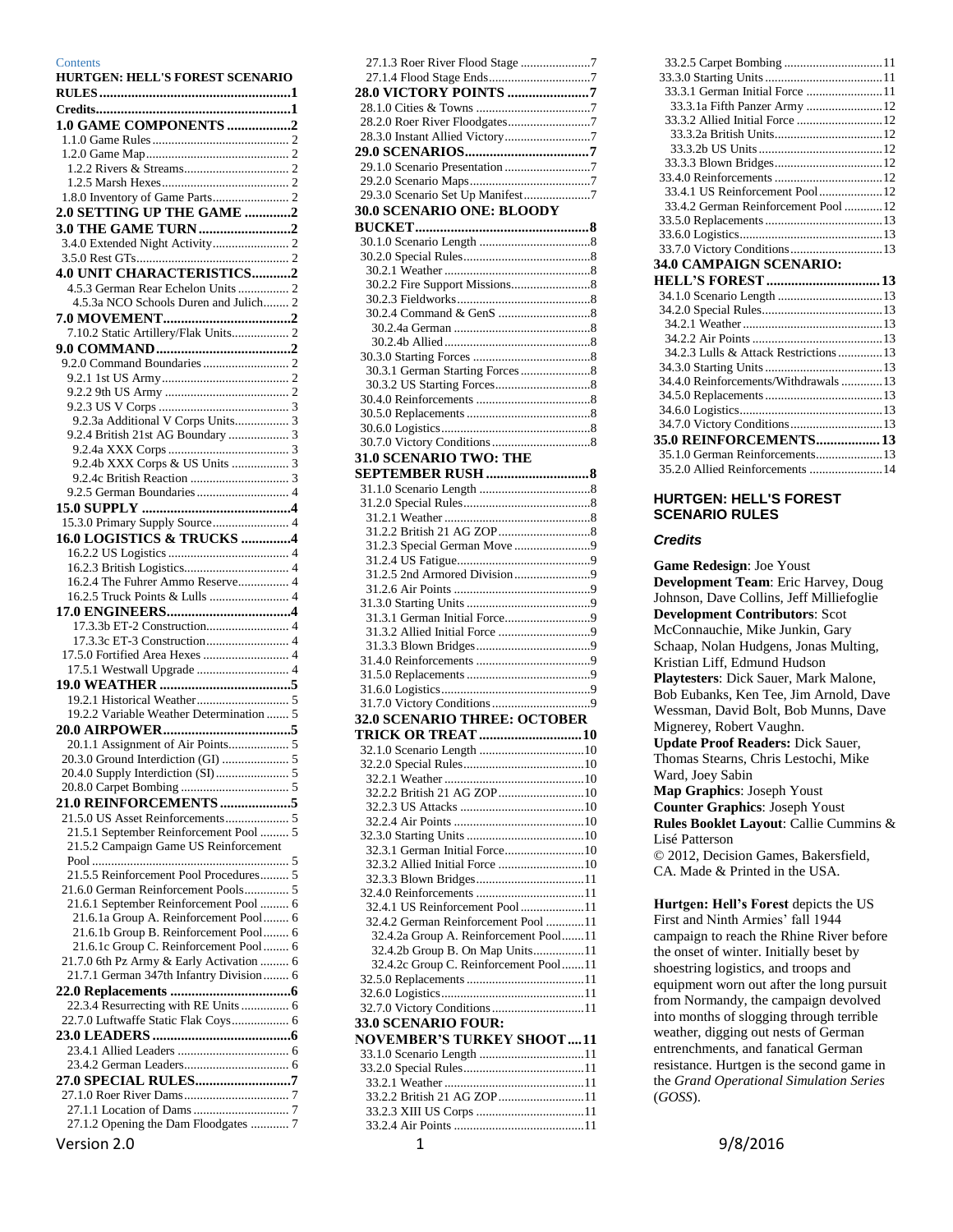#### **Contents**

| <b>HURTGEN: HELL'S FOREST SCENARIO</b>                                             |
|------------------------------------------------------------------------------------|
|                                                                                    |
|                                                                                    |
| 1.0 GAME COMPONENTS 2                                                              |
|                                                                                    |
|                                                                                    |
|                                                                                    |
|                                                                                    |
|                                                                                    |
| 2.0 SETTING UP THE GAME 2                                                          |
|                                                                                    |
|                                                                                    |
|                                                                                    |
| 4.0 UNIT CHARACTERISTICS2<br>4.5.3 German Rear Echelon Units  2                    |
| 4.5.3a NCO Schools Duren and Julich 2                                              |
|                                                                                    |
| 7.10.2 Static Artillery/Flak Units 2                                               |
|                                                                                    |
|                                                                                    |
|                                                                                    |
|                                                                                    |
|                                                                                    |
| 9.2.3a Additional V Corps Units 3                                                  |
| 9.2.4 British 21st AG Boundary  3                                                  |
|                                                                                    |
| 9.2.4b XXX Corps & US Units  3                                                     |
|                                                                                    |
|                                                                                    |
|                                                                                    |
| 15.3.0 Primary Supply Source 4                                                     |
| 16.0 LOGISTICS & TRUCKS 4                                                          |
|                                                                                    |
|                                                                                    |
| 16.2.4 The Fuhrer Ammo Reserve 4                                                   |
|                                                                                    |
|                                                                                    |
|                                                                                    |
|                                                                                    |
| 17.5.0 Fortified Area Hexes  4                                                     |
| 17.5.1 Westwall Upgrade  4                                                         |
|                                                                                    |
| 19.2.2 Variable Weather Determination  5                                           |
|                                                                                    |
|                                                                                    |
|                                                                                    |
|                                                                                    |
|                                                                                    |
| 21.0 REINFORCEMENTS 5                                                              |
|                                                                                    |
| 21.5.1 September Reinforcement Pool  5                                             |
| 21.5.2 Campaign Game US Reinforcement                                              |
|                                                                                    |
| 21.5.5 Reinforcement Pool Procedures 5                                             |
| 21.6.0 German Reinforcement Pools 5                                                |
| 21.6.1 September Reinforcement Pool  6                                             |
| 21.6.1a Group A. Reinforcement Pool 6                                              |
| 21.6.1b Group B. Reinforcement Pool 6                                              |
| 21.6.1c Group C. Reinforcement Pool  6<br>21.7.0 6th Pz Army & Early Activation  6 |
| 21.7.1 German 347th Infantry Division 6                                            |
|                                                                                    |
| 22.3.4 Resurrecting with RE Units  6                                               |
| 22.7.0 Luftwaffe Static Flak Coys 6                                                |
|                                                                                    |
|                                                                                    |
|                                                                                    |
|                                                                                    |
|                                                                                    |
|                                                                                    |
| 27.1.2 Opening the Dam Floodgates  7                                               |

| 27.1.3 Roer River Flood Stage 7                                          |
|--------------------------------------------------------------------------|
|                                                                          |
| 28.0 VICTORY POINTS 7                                                    |
|                                                                          |
|                                                                          |
|                                                                          |
|                                                                          |
|                                                                          |
|                                                                          |
| 29.3.0 Scenario Set Up Manifest7                                         |
| <b>30.0 SCENARIO ONE: BLOODY</b>                                         |
|                                                                          |
|                                                                          |
|                                                                          |
|                                                                          |
|                                                                          |
|                                                                          |
|                                                                          |
|                                                                          |
|                                                                          |
|                                                                          |
|                                                                          |
|                                                                          |
|                                                                          |
|                                                                          |
|                                                                          |
|                                                                          |
| 31.0 SCENARIO TWO: THE                                                   |
| <b>SEPTEMBER RUSH </b> 8                                                 |
|                                                                          |
|                                                                          |
|                                                                          |
|                                                                          |
|                                                                          |
|                                                                          |
|                                                                          |
|                                                                          |
|                                                                          |
|                                                                          |
|                                                                          |
|                                                                          |
|                                                                          |
|                                                                          |
|                                                                          |
|                                                                          |
| <b>32.0 SCENARIO THREE: OCTOBER</b>                                      |
| <b>TRICK OR TREAT 10</b>                                                 |
|                                                                          |
|                                                                          |
|                                                                          |
|                                                                          |
|                                                                          |
|                                                                          |
|                                                                          |
| 32.3.1 German Initial Force10                                            |
|                                                                          |
|                                                                          |
|                                                                          |
| 32.4.1 US Reinforcement Pool11<br>32.4.2 German Reinforcement Pool 11    |
|                                                                          |
| 32.4.2a Group A. Reinforcement Pool11<br>32.4.2b Group B. On Map Units11 |
| 32.4.2c Group C. Reinforcement Pool11                                    |
|                                                                          |
|                                                                          |
| 32.7.0 Victory Conditions 11                                             |
|                                                                          |
|                                                                          |
|                                                                          |
| 33.0 SCENARIO FOUR:<br>NOVEMBER'S TURKEY SHOOT11                         |
|                                                                          |
| 33.2.2 British 21 AG ZOP11                                               |
|                                                                          |

| 33.3.1 German Initial Force 11         |  |
|----------------------------------------|--|
| 33.3.1a Fifth Panzer Army  12          |  |
| 33.3.2 Allied Initial Force  12        |  |
|                                        |  |
|                                        |  |
|                                        |  |
|                                        |  |
| 33.4.1 US Reinforcement Pool12         |  |
| 33.4.2 German Reinforcement Pool  12   |  |
|                                        |  |
|                                        |  |
|                                        |  |
| 34.0 CAMPAIGN SCENARIO:                |  |
|                                        |  |
|                                        |  |
|                                        |  |
|                                        |  |
|                                        |  |
|                                        |  |
| 34.2.3 Lulls & Attack Restrictions  13 |  |
|                                        |  |
| 34.4.0 Reinforcements/Withdrawals13    |  |
|                                        |  |
|                                        |  |
|                                        |  |
| <b>35.0 REINFORCEMENTS 13</b>          |  |
| 35.1.0 German Reinforcements13         |  |

#### <span id="page-0-0"></span>**HURTGEN: HELL'S FOREST SCENARIO RULES**

#### <span id="page-0-1"></span>*Credits*

**Game Redesign**: Joe Youst **Development Team**: Eric Harvey, Doug Johnson, Dave Collins, Jeff Milliefoglie **Development Contributors**: Scot McConnauchie, Mike Junkin, Gary Schaap, Nolan Hudgens, Jonas Multing, Kristian Liff, Edmund Hudson **Playtesters**: Dick Sauer, Mark Malone, Bob Eubanks, Ken Tee, Jim Arnold, Dave Wessman, David Bolt, Bob Munns, Dave Mignerey, Robert Vaughn. **Update Proof Readers:** Dick Sauer, Thomas Stearns, Chris Lestochi, Mike Ward, Joey Sabin **Map Graphics**: Joseph Youst **Counter Graphics**: Joseph Youst **Rules Booklet Layout**: Callie Cummins & Lisé Patterson © 2012, Decision Games, Bakersfield, CA. Made & Printed in the USA. **Hurtgen: Hell's Forest depicts the US** 

First and Ninth Armies' fall 1944 campaign to reach the Rhine River before the onset of winter. Initially beset by shoestring logistics, and troops and equipment worn out after the long pursuit from Normandy, the campaign devolved into months of slogging through terrible weather, digging out nests of German entrenchments, and fanatical German resistance. Hurtgen is the second game in the *Grand Operational Simulation Series*  (*GOSS*).

Version 2.0 **1** 9/8/2016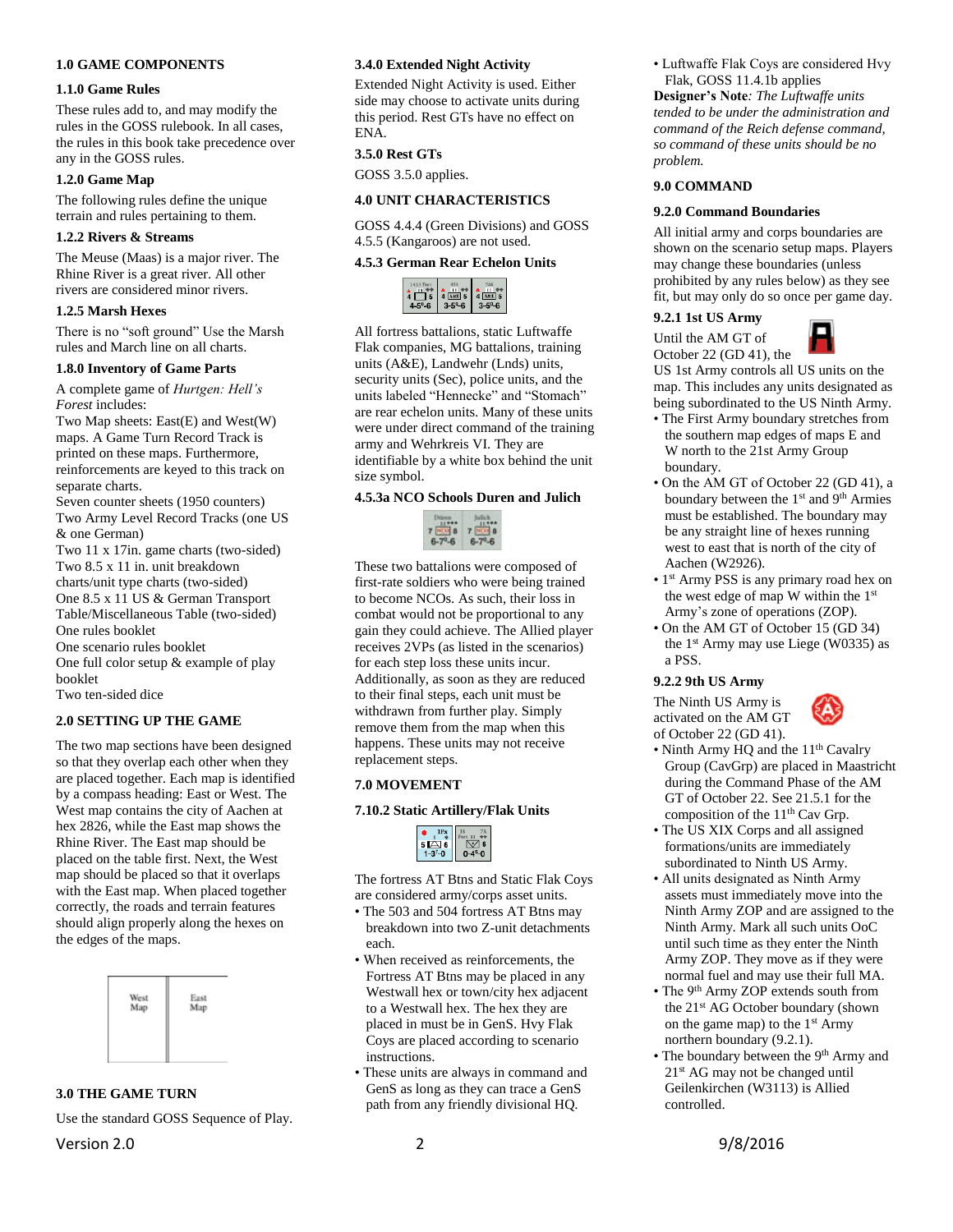#### <span id="page-1-0"></span>**1.0 GAME COMPONENTS**

#### <span id="page-1-1"></span>**1.1.0 Game Rules**

These rules add to, and may modify the rules in the GOSS rulebook. In all cases, the rules in this book take precedence over any in the GOSS rules.

#### <span id="page-1-2"></span>**1.2.0 Game Map**

The following rules define the unique terrain and rules pertaining to them.

#### <span id="page-1-3"></span>**1.2.2 Rivers & Streams**

The Meuse (Maas) is a major river. The Rhine River is a great river. All other rivers are considered minor rivers.

#### <span id="page-1-4"></span>**1.2.5 Marsh Hexes**

There is no "soft ground" Use the Marsh rules and March line on all charts.

#### <span id="page-1-5"></span>**1.8.0 Inventory of Game Parts**

A complete game of *Hurtgen: Hell's Forest* includes:

Two Map sheets: East(E) and West(W) maps. A Game Turn Record Track is printed on these maps. Furthermore, reinforcements are keyed to this track on separate charts.

Seven counter sheets (1950 counters) Two Army Level Record Tracks (one US & one German)

Two 11 x 17in. game charts (two-sided) Two 8.5 x 11 in. unit breakdown charts/unit type charts (two-sided) One 8.5 x 11 US & German Transport

Table/Miscellaneous Table (two-sided) One rules booklet

One scenario rules booklet

One full color setup & example of play booklet

Two ten-sided dice

#### <span id="page-1-6"></span>**2.0 SETTING UP THE GAME**

The two map sections have been designed so that they overlap each other when they are placed together. Each map is identified by a compass heading: East or West. The West map contains the city of Aachen at hex 2826, while the East map shows the Rhine River. The East map should be placed on the table first. Next, the West map should be placed so that it overlaps with the East map. When placed together correctly, the roads and terrain features should align properly along the hexes on the edges of the maps.



## <span id="page-1-7"></span>**3.0 THE GAME TURN**

Version 2.0 2 9/8/2016 Use the standard GOSS Sequence of Play.

#### <span id="page-1-8"></span>**3.4.0 Extended Night Activity**

Extended Night Activity is used. Either side may choose to activate units during this period. Rest GTs have no effect on ENA.

# <span id="page-1-9"></span>**3.5.0 Rest GTs**

GOSS 3.5.0 applies.

#### <span id="page-1-10"></span>**4.0 UNIT CHARACTERISTICS**

GOSS 4.4.4 (Green Divisions) and GOSS 4.5.5 (Kangaroos) are not used.

#### <span id="page-1-11"></span>**4.5.3 German Rear Echelon Units**



All fortress battalions, static Luftwaffe Flak companies, MG battalions, training units (A&E), Landwehr (Lnds) units, security units (Sec), police units, and the units labeled "Hennecke" and "Stomach" are rear echelon units. Many of these units were under direct command of the training army and Wehrkreis VI. They are identifiable by a white box behind the unit size symbol.

#### <span id="page-1-12"></span>**4.5.3a NCO Schools Duren and Julich**



These two battalions were composed of first-rate soldiers who were being trained to become NCOs. As such, their loss in combat would not be proportional to any gain they could achieve. The Allied player receives 2VPs (as listed in the scenarios) for each step loss these units incur. Additionally, as soon as they are reduced to their final steps, each unit must be withdrawn from further play. Simply remove them from the map when this happens. These units may not receive replacement steps.

## <span id="page-1-13"></span>**7.0 MOVEMENT**

#### <span id="page-1-14"></span>**7.10.2 Static Artillery/Flak Units**

The fortress AT Btns and Static Flak Coys are considered army/corps asset units.

- The 503 and 504 fortress AT Btns may breakdown into two Z-unit detachments each.
- When received as reinforcements, the Fortress AT Btns may be placed in any Westwall hex or town/city hex adjacent to a Westwall hex. The hex they are placed in must be in GenS. Hvy Flak Coys are placed according to scenario instructions.
- These units are always in command and GenS as long as they can trace a GenS path from any friendly divisional HQ.

• Luftwaffe Flak Coys are considered Hvy Flak, GOSS 11.4.1b applies

**Designer's Note***: The Luftwaffe units tended to be under the administration and command of the Reich defense command, so command of these units should be no problem.*

#### <span id="page-1-15"></span>**9.0 COMMAND**

#### <span id="page-1-16"></span>**9.2.0 Command Boundaries**

All initial army and corps boundaries are shown on the scenario setup maps. Players may change these boundaries (unless prohibited by any rules below) as they see fit, but may only do so once per game day.

# <span id="page-1-17"></span>**9.2.1 1st US Army**

Until the AM GT of October 22 (GD 41), the



US 1st Army controls all US units on the map. This includes any units designated as being subordinated to the US Ninth Army.

- The First Army boundary stretches from the southern map edges of maps E and W north to the 21st Army Group boundary.
- On the AM GT of October 22 (GD 41), a boundary between the 1<sup>st</sup> and 9<sup>th</sup> Armies must be established. The boundary may be any straight line of hexes running west to east that is north of the city of Aachen (W2926).
- 1 st Army PSS is any primary road hex on the west edge of map W within the 1<sup>st</sup> Army's zone of operations (ZOP).
- On the AM GT of October 15 (GD 34) the  $1<sup>st</sup>$  Army may use Liege (W0335) as a PSS.

#### <span id="page-1-18"></span>**9.2.2 9th US Army**

The Ninth US Army is activated on the AM GT of October 22 (GD 41).



- Ninth Army HQ and the 11<sup>th</sup> Cavalry Group (CavGrp) are placed in Maastricht during the Command Phase of the AM GT of October 22. See 21.5.1 for the composition of the 11<sup>th</sup> Cav Grp.
- The US XIX Corps and all assigned formations/units are immediately subordinated to Ninth US Army.
- All units designated as Ninth Army assets must immediately move into the Ninth Army ZOP and are assigned to the Ninth Army. Mark all such units OoC until such time as they enter the Ninth Army ZOP. They move as if they were normal fuel and may use their full MA.
- The 9<sup>th</sup> Army ZOP extends south from the 21<sup>st</sup> AG October boundary (shown on the game map) to the 1<sup>st</sup> Army northern boundary (9.2.1).
- The boundary between the 9<sup>th</sup> Army and 21st AG may not be changed until Geilenkirchen (W3113) is Allied controlled.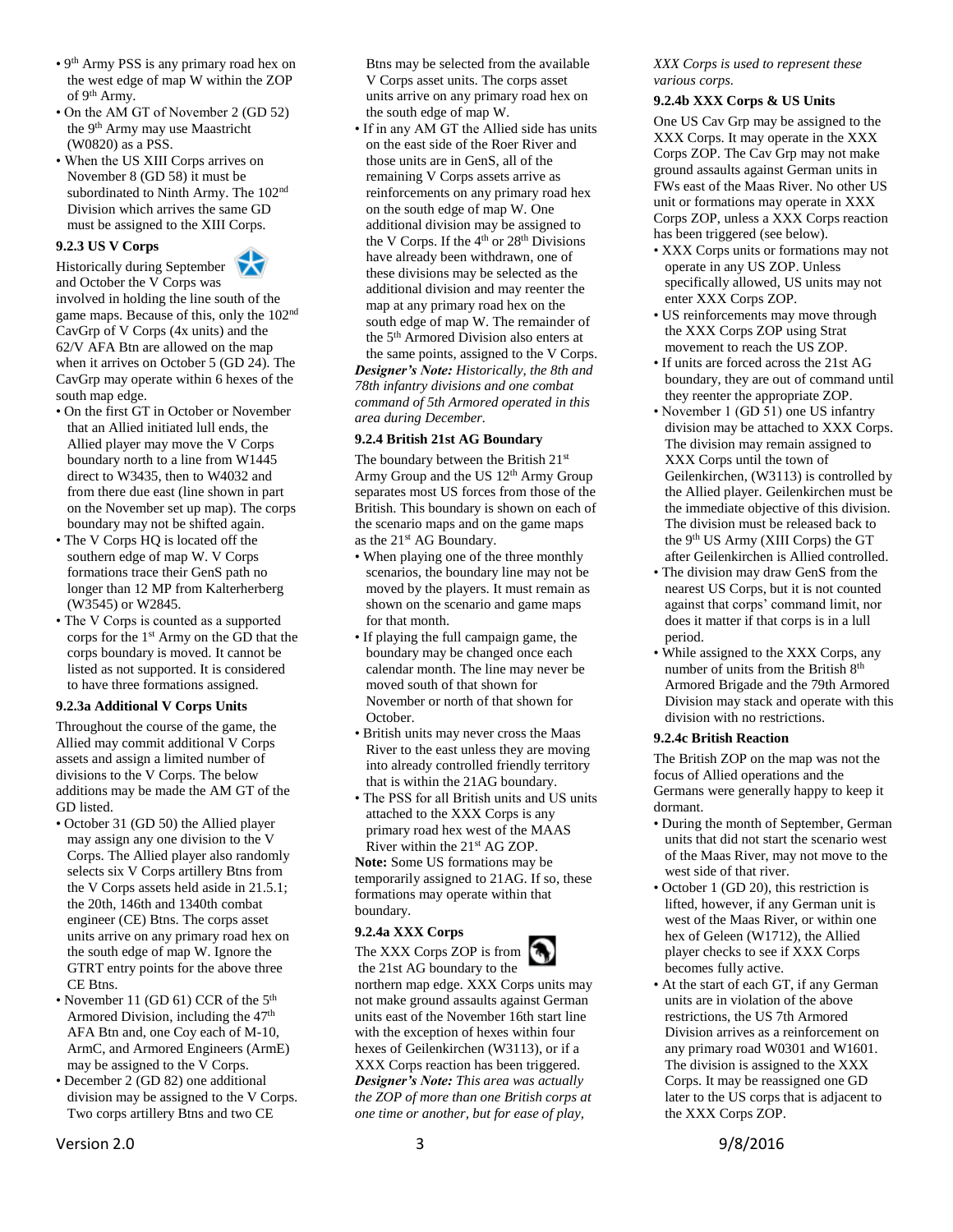- 9 th Army PSS is any primary road hex on the west edge of map W within the ZOP of 9th Army.
- On the AM GT of November 2 (GD 52) the 9th Army may use Maastricht (W0820) as a PSS.
- When the US XIII Corps arrives on November 8 (GD 58) it must be subordinated to Ninth Army. The 102<sup>nd</sup> Division which arrives the same GD must be assigned to the XIII Corps.

# **9.2.3 US V Corps**

<span id="page-2-0"></span>

and October the V Corps was involved in holding the line south of the game maps. Because of this, only the 102nd CavGrp of V Corps (4x units) and the 62/V AFA Btn are allowed on the map when it arrives on October 5 (GD 24). The CavGrp may operate within 6 hexes of the south map edge.

- On the first GT in October or November that an Allied initiated lull ends, the Allied player may move the V Corps boundary north to a line from W1445 direct to W3435, then to W4032 and from there due east (line shown in part on the November set up map). The corps boundary may not be shifted again.
- The V Corps HQ is located off the southern edge of map W. V Corps formations trace their GenS path no longer than 12 MP from Kalterherberg (W3545) or W2845.
- The V Corps is counted as a supported corps for the 1st Army on the GD that the corps boundary is moved. It cannot be listed as not supported. It is considered to have three formations assigned.

#### <span id="page-2-1"></span>**9.2.3a Additional V Corps Units**

Throughout the course of the game, the Allied may commit additional V Corps assets and assign a limited number of divisions to the V Corps. The below additions may be made the AM GT of the GD listed.

- October 31 (GD 50) the Allied player may assign any one division to the V Corps. The Allied player also randomly selects six V Corps artillery Btns from the V Corps assets held aside in 21.5.1; the 20th, 146th and 1340th combat engineer (CE) Btns. The corps asset units arrive on any primary road hex on the south edge of map W. Ignore the GTRT entry points for the above three CE Btns.
- November 11 (GD 61) CCR of the 5<sup>th</sup> Armored Division, including the  $47<sup>th</sup>$ AFA Btn and, one Coy each of M-10, ArmC, and Armored Engineers (ArmE) may be assigned to the V Corps.
- December 2 (GD 82) one additional division may be assigned to the V Corps. Two corps artillery Btns and two CE

Btns may be selected from the available V Corps asset units. The corps asset units arrive on any primary road hex on the south edge of map W.

• If in any AM GT the Allied side has units on the east side of the Roer River and those units are in GenS, all of the remaining V Corps assets arrive as reinforcements on any primary road hex on the south edge of map W. One additional division may be assigned to the V Corps. If the  $4<sup>th</sup>$  or  $28<sup>th</sup>$  Divisions have already been withdrawn, one of these divisions may be selected as the additional division and may reenter the map at any primary road hex on the south edge of map W. The remainder of the 5th Armored Division also enters at the same points, assigned to the V Corps. *Designer's Note: Historically, the 8th and 78th infantry divisions and one combat command of 5th Armored operated in this area during December.* 

# <span id="page-2-2"></span>**9.2.4 British 21st AG Boundary**

The boundary between the British 21st Army Group and the US 12<sup>th</sup> Army Group separates most US forces from those of the British. This boundary is shown on each of the scenario maps and on the game maps as the 21<sup>st</sup> AG Boundary.

- When playing one of the three monthly scenarios, the boundary line may not be moved by the players. It must remain as shown on the scenario and game maps for that month.
- If playing the full campaign game, the boundary may be changed once each calendar month. The line may never be moved south of that shown for November or north of that shown for October.
- British units may never cross the Maas River to the east unless they are moving into already controlled friendly territory that is within the 21AG boundary.
- The PSS for all British units and US units attached to the XXX Corps is any primary road hex west of the MAAS River within the 21<sup>st</sup> AG ZOP.

**Note:** Some US formations may be temporarily assigned to 21AG. If so, these formations may operate within that boundary.

#### <span id="page-2-3"></span>**9.2.4a XXX Corps**

The XXX Corps ZOP is from

the 21st AG boundary to the northern map edge. XXX Corps units may not make ground assaults against German units east of the November 16th start line with the exception of hexes within four hexes of Geilenkirchen (W3113), or if a XXX Corps reaction has been triggered. *Designer's Note: This area was actually the ZOP of more than one British corps at one time or another, but for ease of play,* 

*XXX Corps is used to represent these various corps.*

#### <span id="page-2-4"></span>**9.2.4b XXX Corps & US Units**

One US Cav Grp may be assigned to the XXX Corps. It may operate in the XXX Corps ZOP. The Cav Grp may not make ground assaults against German units in FWs east of the Maas River. No other US unit or formations may operate in XXX Corps ZOP, unless a XXX Corps reaction has been triggered (see below).

- XXX Corps units or formations may not operate in any US ZOP. Unless specifically allowed, US units may not enter XXX Corps ZOP.
- US reinforcements may move through the XXX Corps ZOP using Strat movement to reach the US ZOP.
- If units are forced across the 21st AG boundary, they are out of command until they reenter the appropriate ZOP.
- November 1 (GD 51) one US infantry division may be attached to XXX Corps. The division may remain assigned to XXX Corps until the town of Geilenkirchen, (W3113) is controlled by the Allied player. Geilenkirchen must be the immediate objective of this division. The division must be released back to the 9<sup>th</sup> US Army (XIII Corps) the GT after Geilenkirchen is Allied controlled.
- The division may draw GenS from the nearest US Corps, but it is not counted against that corps' command limit, nor does it matter if that corps is in a lull period.
- While assigned to the XXX Corps, any number of units from the British 8th Armored Brigade and the 79th Armored Division may stack and operate with this division with no restrictions.

#### <span id="page-2-5"></span>**9.2.4c British Reaction**

The British ZOP on the map was not the focus of Allied operations and the Germans were generally happy to keep it dormant.

- During the month of September, German units that did not start the scenario west of the Maas River, may not move to the west side of that river.
- October 1 (GD 20), this restriction is lifted, however, if any German unit is west of the Maas River, or within one hex of Geleen (W1712), the Allied player checks to see if XXX Corps becomes fully active.
- At the start of each GT, if any German units are in violation of the above restrictions, the US 7th Armored Division arrives as a reinforcement on any primary road W0301 and W1601. The division is assigned to the XXX Corps. It may be reassigned one GD later to the US corps that is adjacent to the XXX Corps ZOP.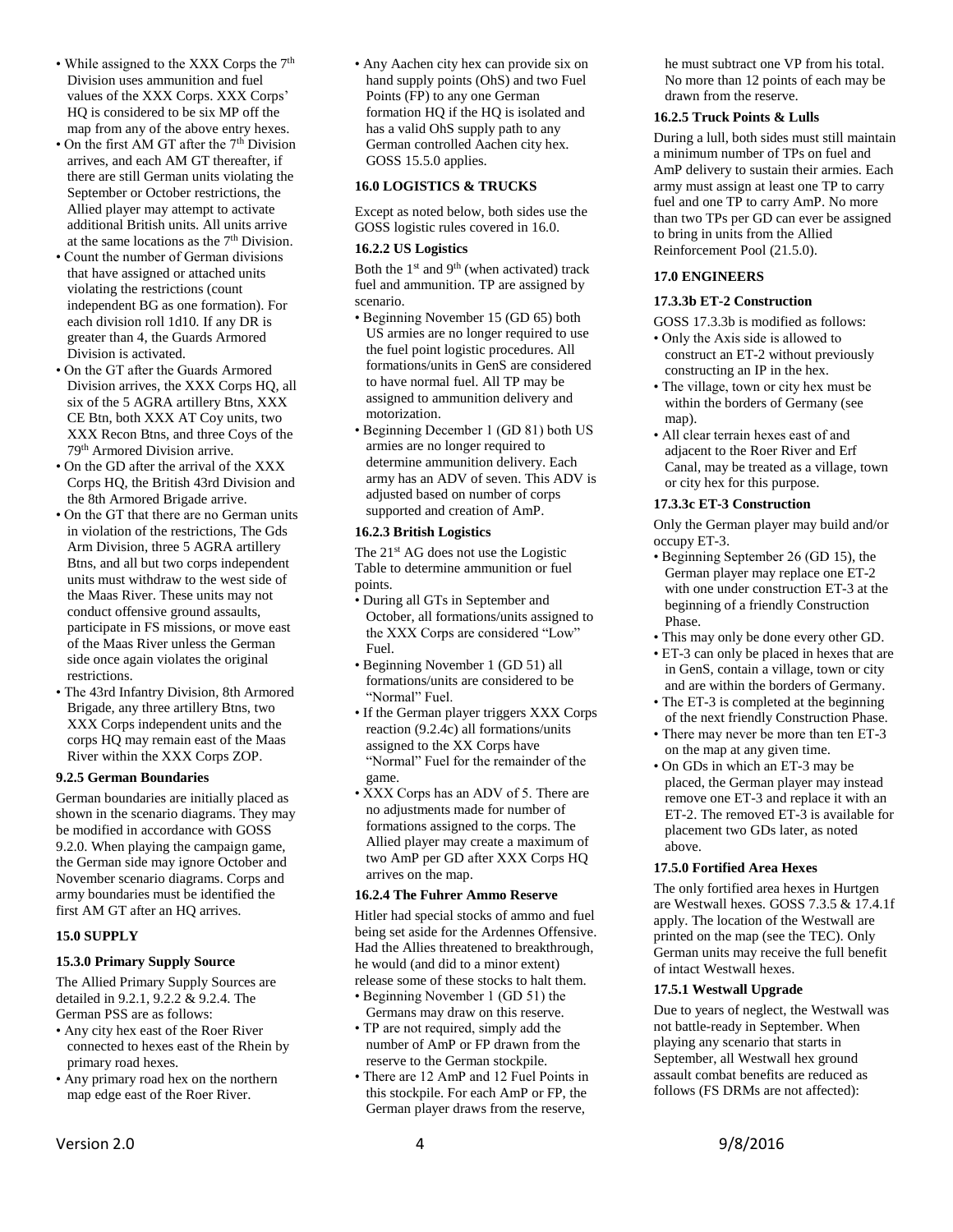- While assigned to the XXX Corps the 7<sup>th</sup> Division uses ammunition and fuel values of the XXX Corps. XXX Corps' HQ is considered to be six MP off the map from any of the above entry hexes.
- On the first AM GT after the  $7<sup>th</sup>$  Division arrives, and each AM GT thereafter, if there are still German units violating the September or October restrictions, the Allied player may attempt to activate additional British units. All units arrive at the same locations as the 7th Division.
- Count the number of German divisions that have assigned or attached units violating the restrictions (count independent BG as one formation). For each division roll 1d10. If any DR is greater than 4, the Guards Armored Division is activated.
- On the GT after the Guards Armored Division arrives, the XXX Corps HQ, all six of the 5 AGRA artillery Btns, XXX CE Btn, both XXX AT Coy units, two XXX Recon Btns, and three Coys of the 79th Armored Division arrive.
- On the GD after the arrival of the XXX Corps HQ, the British 43rd Division and the 8th Armored Brigade arrive.
- On the GT that there are no German units in violation of the restrictions, The Gds Arm Division, three 5 AGRA artillery Btns, and all but two corps independent units must withdraw to the west side of the Maas River. These units may not conduct offensive ground assaults, participate in FS missions, or move east of the Maas River unless the German side once again violates the original restrictions.
- The 43rd Infantry Division, 8th Armored Brigade, any three artillery Btns, two XXX Corps independent units and the corps HQ may remain east of the Maas River within the XXX Corps ZOP.

#### <span id="page-3-0"></span>**9.2.5 German Boundaries**

German boundaries are initially placed as shown in the scenario diagrams. They may be modified in accordance with GOSS 9.2.0. When playing the campaign game, the German side may ignore October and November scenario diagrams. Corps and army boundaries must be identified the first AM GT after an HQ arrives.

#### <span id="page-3-1"></span>**15.0 SUPPLY**

#### <span id="page-3-2"></span>**15.3.0 Primary Supply Source**

The Allied Primary Supply Sources are detailed in 9.2.1, 9.2.2 & 9.2.4. The German PSS are as follows:

- Any city hex east of the Roer River connected to hexes east of the Rhein by primary road hexes.
- Any primary road hex on the northern map edge east of the Roer River.

• Any Aachen city hex can provide six on hand supply points (OhS) and two Fuel Points (FP) to any one German formation HQ if the HQ is isolated and has a valid OhS supply path to any German controlled Aachen city hex. GOSS 15.5.0 applies.

## <span id="page-3-3"></span>**16.0 LOGISTICS & TRUCKS**

Except as noted below, both sides use the GOSS logistic rules covered in 16.0.

# <span id="page-3-4"></span>**16.2.2 US Logistics**

Both the  $1<sup>st</sup>$  and  $9<sup>th</sup>$  (when activated) track fuel and ammunition. TP are assigned by scenario.

- Beginning November 15 (GD 65) both US armies are no longer required to use the fuel point logistic procedures. All formations/units in GenS are considered to have normal fuel. All TP may be assigned to ammunition delivery and motorization.
- Beginning December 1 (GD 81) both US armies are no longer required to determine ammunition delivery. Each army has an ADV of seven. This ADV is adjusted based on number of corps supported and creation of AmP.

#### <span id="page-3-5"></span>**16.2.3 British Logistics**

The 21<sup>st</sup> AG does not use the Logistic Table to determine ammunition or fuel points.

- During all GTs in September and October, all formations/units assigned to the XXX Corps are considered "Low" Fuel.
- Beginning November 1 (GD 51) all formations/units are considered to be "Normal" Fuel.
- If the German player triggers XXX Corps reaction (9.2.4c) all formations/units assigned to the XX Corps have "Normal" Fuel for the remainder of the game.
- XXX Corps has an ADV of 5. There are no adjustments made for number of formations assigned to the corps. The Allied player may create a maximum of two AmP per GD after XXX Corps HQ arrives on the map.

#### <span id="page-3-6"></span>**16.2.4 The Fuhrer Ammo Reserve**

Hitler had special stocks of ammo and fuel being set aside for the Ardennes Offensive. Had the Allies threatened to breakthrough, he would (and did to a minor extent) release some of these stocks to halt them.

- Beginning November 1 (GD 51) the Germans may draw on this reserve.
- TP are not required, simply add the number of AmP or FP drawn from the reserve to the German stockpile.
- There are 12 AmP and 12 Fuel Points in this stockpile. For each AmP or FP, the German player draws from the reserve,

he must subtract one VP from his total. No more than 12 points of each may be drawn from the reserve.

#### <span id="page-3-7"></span>**16.2.5 Truck Points & Lulls**

During a lull, both sides must still maintain a minimum number of TPs on fuel and AmP delivery to sustain their armies. Each army must assign at least one TP to carry fuel and one TP to carry AmP. No more than two TPs per GD can ever be assigned to bring in units from the Allied Reinforcement Pool (21.5.0).

#### <span id="page-3-8"></span>**17.0 ENGINEERS**

#### <span id="page-3-9"></span>**17.3.3b ET-2 Construction**

GOSS 17.3.3b is modified as follows:

- Only the Axis side is allowed to construct an ET-2 without previously constructing an IP in the hex.
- The village, town or city hex must be within the borders of Germany (see map).
- All clear terrain hexes east of and adjacent to the Roer River and Erf Canal, may be treated as a village, town or city hex for this purpose.

#### <span id="page-3-10"></span>**17.3.3c ET-3 Construction**

Only the German player may build and/or occupy ET-3.

- Beginning September 26 (GD 15), the German player may replace one ET-2 with one under construction ET-3 at the beginning of a friendly Construction Phase.
- This may only be done every other GD.
- ET-3 can only be placed in hexes that are in GenS, contain a village, town or city and are within the borders of Germany.
- The ET-3 is completed at the beginning of the next friendly Construction Phase.
- There may never be more than ten ET-3 on the map at any given time.
- On GDs in which an ET-3 may be placed, the German player may instead remove one ET-3 and replace it with an ET-2. The removed ET-3 is available for placement two GDs later, as noted above.

#### <span id="page-3-11"></span>**17.5.0 Fortified Area Hexes**

The only fortified area hexes in Hurtgen are Westwall hexes. GOSS 7.3.5 & 17.4.1f apply. The location of the Westwall are printed on the map (see the TEC). Only German units may receive the full benefit of intact Westwall hexes.

#### <span id="page-3-12"></span>**17.5.1 Westwall Upgrade**

Due to years of neglect, the Westwall was not battle-ready in September. When playing any scenario that starts in September, all Westwall hex ground assault combat benefits are reduced as follows (FS DRMs are not affected):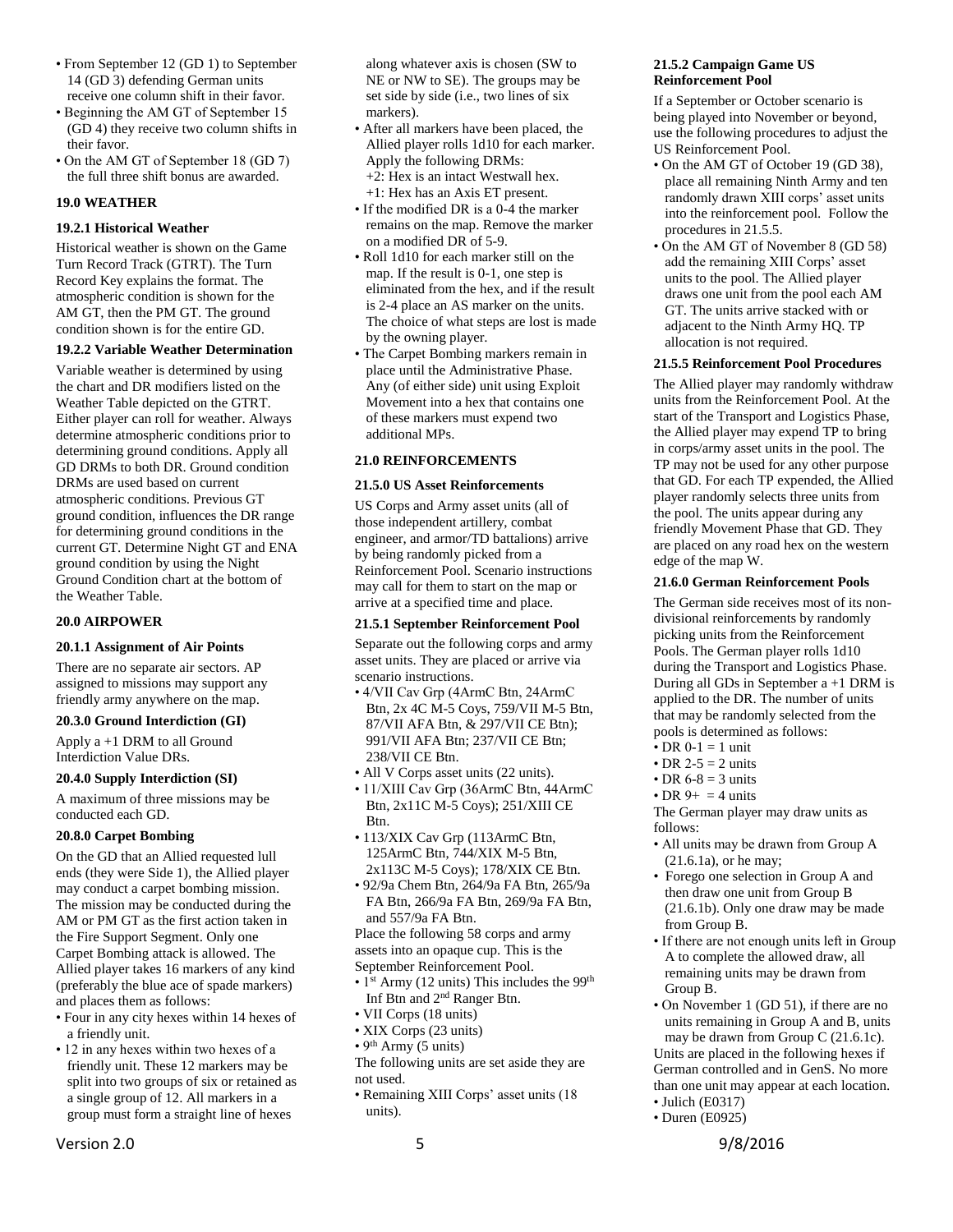- From September 12 (GD 1) to September 14 (GD 3) defending German units receive one column shift in their favor.
- Beginning the AM GT of September 15 (GD 4) they receive two column shifts in their favor.
- On the AM GT of September 18 (GD 7) the full three shift bonus are awarded.

#### <span id="page-4-0"></span>**19.0 WEATHER**

## <span id="page-4-1"></span>**19.2.1 Historical Weather**

Historical weather is shown on the Game Turn Record Track (GTRT). The Turn Record Key explains the format. The atmospheric condition is shown for the AM GT, then the PM GT. The ground condition shown is for the entire GD.

## <span id="page-4-2"></span>**19.2.2 Variable Weather Determination**

Variable weather is determined by using the chart and DR modifiers listed on the Weather Table depicted on the GTRT. Either player can roll for weather. Always determine atmospheric conditions prior to determining ground conditions. Apply all GD DRMs to both DR. Ground condition DRMs are used based on current atmospheric conditions. Previous GT ground condition, influences the DR range for determining ground conditions in the current GT. Determine Night GT and ENA ground condition by using the Night Ground Condition chart at the bottom of the Weather Table.

#### <span id="page-4-3"></span>**20.0 AIRPOWER**

#### <span id="page-4-4"></span>**20.1.1 Assignment of Air Points**

There are no separate air sectors. AP assigned to missions may support any friendly army anywhere on the map.

#### <span id="page-4-5"></span>**20.3.0 Ground Interdiction (GI)**

Apply a +1 DRM to all Ground Interdiction Value DRs.

#### <span id="page-4-6"></span>**20.4.0 Supply Interdiction (SI)**

A maximum of three missions may be conducted each GD.

#### <span id="page-4-7"></span>**20.8.0 Carpet Bombing**

On the GD that an Allied requested lull ends (they were Side 1), the Allied player may conduct a carpet bombing mission. The mission may be conducted during the AM or PM GT as the first action taken in the Fire Support Segment. Only one Carpet Bombing attack is allowed. The Allied player takes 16 markers of any kind (preferably the blue ace of spade markers) and places them as follows:

- Four in any city hexes within 14 hexes of a friendly unit.
- 12 in any hexes within two hexes of a friendly unit. These 12 markers may be split into two groups of six or retained as a single group of 12. All markers in a group must form a straight line of hexes

along whatever axis is chosen (SW to NE or NW to SE). The groups may be set side by side (i.e., two lines of six markers).

- After all markers have been placed, the Allied player rolls 1d10 for each marker. Apply the following DRMs: +2: Hex is an intact Westwall hex. +1: Hex has an Axis ET present.
	-
- If the modified DR is a 0-4 the marker remains on the map. Remove the marker on a modified DR of 5-9.
- Roll 1d10 for each marker still on the map. If the result is 0-1, one step is eliminated from the hex, and if the result is 2-4 place an AS marker on the units. The choice of what steps are lost is made by the owning player.
- The Carpet Bombing markers remain in place until the Administrative Phase. Any (of either side) unit using Exploit Movement into a hex that contains one of these markers must expend two additional MPs.

#### <span id="page-4-8"></span>**21.0 REINFORCEMENTS**

#### <span id="page-4-9"></span>**21.5.0 US Asset Reinforcements**

US Corps and Army asset units (all of those independent artillery, combat engineer, and armor/TD battalions) arrive by being randomly picked from a Reinforcement Pool. Scenario instructions may call for them to start on the map or arrive at a specified time and place.

#### <span id="page-4-10"></span>**21.5.1 September Reinforcement Pool**

Separate out the following corps and army asset units. They are placed or arrive via scenario instructions.

- 4/VII Cav Grp (4ArmC Btn, 24ArmC Btn, 2x 4C M-5 Coys, 759/VII M-5 Btn, 87/VII AFA Btn, & 297/VII CE Btn); 991/VII AFA Btn; 237/VII CE Btn; 238/VII CE Btn.
- All V Corps asset units (22 units).
- 11/XIII Cav Grp (36ArmC Btn, 44ArmC Btn, 2x11C M-5 Coys); 251/XIII CE Btn.
- 113/XIX Cav Grp (113ArmC Btn, 125ArmC Btn, 744/XIX M-5 Btn, 2x113C M-5 Coys); 178/XIX CE Btn.
- 92/9a Chem Btn, 264/9a FA Btn, 265/9a FA Btn, 266/9a FA Btn, 269/9a FA Btn, and 557/9a FA Btn.

Place the following 58 corps and army assets into an opaque cup. This is the September Reinforcement Pool.

- $\cdot$  1<sup>st</sup> Army (12 units) This includes the 99<sup>th</sup> Inf Btn and 2nd Ranger Btn.
- VII Corps (18 units)
- XIX Corps (23 units)
- $9<sup>th</sup>$  Army (5 units)

The following units are set aside they are not used.

• Remaining XIII Corps' asset units (18 units).

#### <span id="page-4-11"></span>**21.5.2 Campaign Game US Reinforcement Pool**

If a September or October scenario is being played into November or beyond, use the following procedures to adjust the US Reinforcement Pool.

- On the AM GT of October 19 (GD 38), place all remaining Ninth Army and ten randomly drawn XIII corps' asset units into the reinforcement pool. Follow the procedures in 21.5.5.
- On the AM GT of November 8 (GD 58) add the remaining XIII Corps' asset units to the pool. The Allied player draws one unit from the pool each AM GT. The units arrive stacked with or adjacent to the Ninth Army HQ. TP allocation is not required.

#### <span id="page-4-12"></span>**21.5.5 Reinforcement Pool Procedures**

The Allied player may randomly withdraw units from the Reinforcement Pool. At the start of the Transport and Logistics Phase, the Allied player may expend TP to bring in corps/army asset units in the pool. The TP may not be used for any other purpose that GD. For each TP expended, the Allied player randomly selects three units from the pool. The units appear during any friendly Movement Phase that GD. They are placed on any road hex on the western edge of the map W.

#### <span id="page-4-13"></span>**21.6.0 German Reinforcement Pools**

The German side receives most of its nondivisional reinforcements by randomly picking units from the Reinforcement Pools. The German player rolls 1d10 during the Transport and Logistics Phase. During all GDs in September a +1 DRM is applied to the DR. The number of units that may be randomly selected from the pools is determined as follows:

- DR  $0-1 = 1$  unit
- DR 2-5  $=$  2 units
- DR  $6-8 = 3$  units
- DR  $9+ = 4$  units

The German player may draw units as follows:

- All units may be drawn from Group A (21.6.1a), or he may;
- Forego one selection in Group A and then draw one unit from Group B (21.6.1b). Only one draw may be made from Group B.
- If there are not enough units left in Group A to complete the allowed draw, all remaining units may be drawn from Group B.
- On November 1 (GD 51), if there are no units remaining in Group A and B, units may be drawn from Group C (21.6.1c). Units are placed in the following hexes if German controlled and in GenS. No more than one unit may appear at each location. • Julich (E0317)
- Duren (E0925)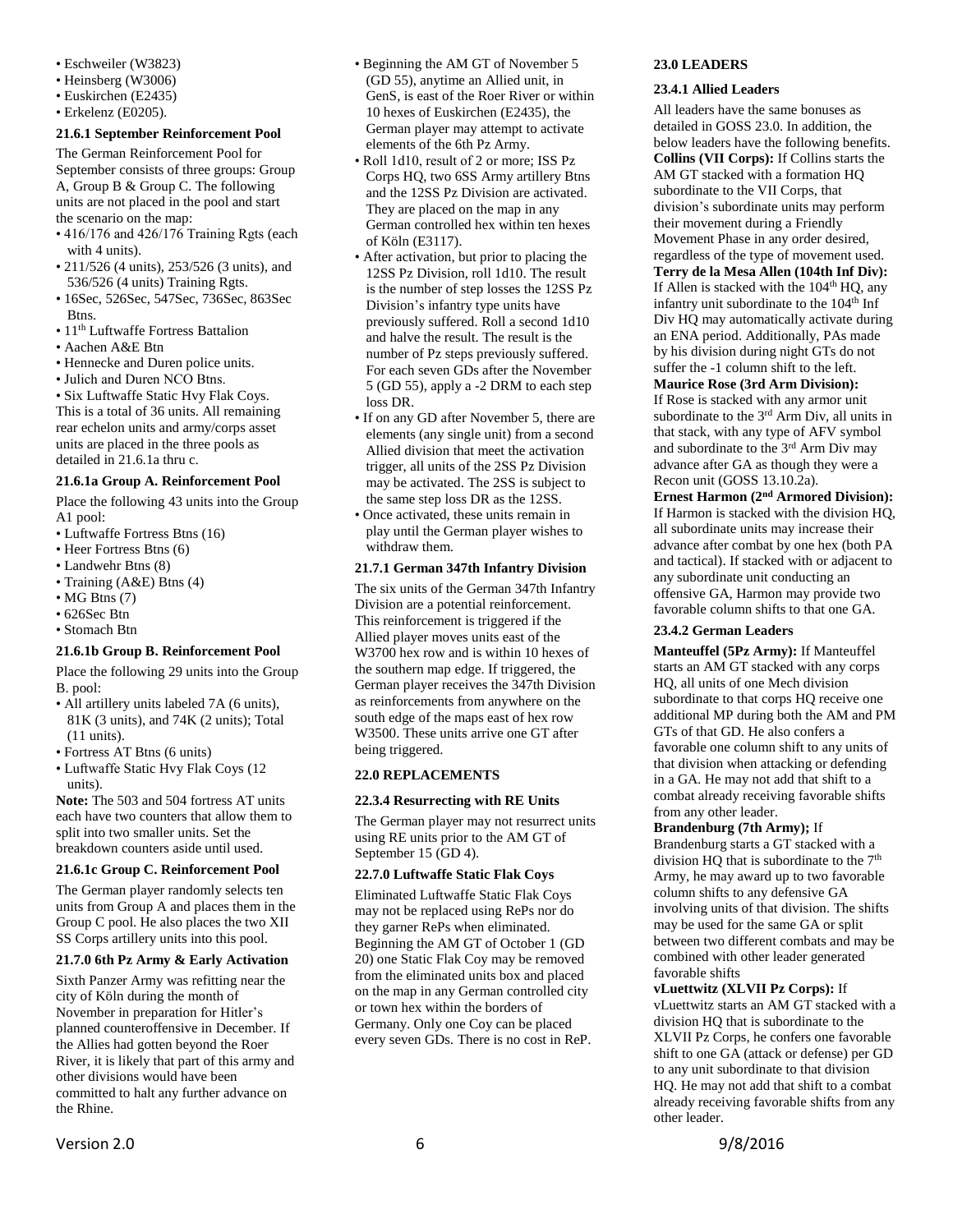- Eschweiler (W3823)
- Heinsberg (W3006)
- Euskirchen (E2435)
- Erkelenz (E0205).

## <span id="page-5-0"></span>**21.6.1 September Reinforcement Pool**

The German Reinforcement Pool for September consists of three groups: Group A, Group B & Group C. The following units are not placed in the pool and start the scenario on the map:

- 416/176 and 426/176 Training Rgts (each with 4 units).
- 211/526 (4 units), 253/526 (3 units), and 536/526 (4 units) Training Rgts.
- 16Sec, 526Sec, 547Sec, 736Sec, 863Sec Btns.
- 11<sup>th</sup> Luftwaffe Fortress Battalion
- Aachen A&E Btn
- Hennecke and Duren police units.
- Julich and Duren NCO Btns.

• Six Luftwaffe Static Hvy Flak Coys. This is a total of 36 units. All remaining rear echelon units and army/corps asset units are placed in the three pools as detailed in 21.6.1a thru c.

#### <span id="page-5-1"></span>**21.6.1a Group A. Reinforcement Pool**

Place the following 43 units into the Group A1 pool:

- Luftwaffe Fortress Btns (16)
- Heer Fortress Btns (6)
- Landwehr Btns (8)
- Training (A&E) Btns (4)
- $\cdot$  MG Btns (7)
- 626Sec Btn
- Stomach Btn

# <span id="page-5-2"></span>**21.6.1b Group B. Reinforcement Pool**

Place the following 29 units into the Group B. pool:

- All artillery units labeled 7A (6 units), 81K (3 units), and 74K (2 units); Total (11 units).
- Fortress AT Btns (6 units)
- Luftwaffe Static Hvy Flak Coys (12 units).

**Note:** The 503 and 504 fortress AT units each have two counters that allow them to split into two smaller units. Set the breakdown counters aside until used.

# <span id="page-5-3"></span>**21.6.1c Group C. Reinforcement Pool**

The German player randomly selects ten units from Group A and places them in the Group C pool. He also places the two XII SS Corps artillery units into this pool.

# <span id="page-5-4"></span>**21.7.0 6th Pz Army & Early Activation**

Sixth Panzer Army was refitting near the city of Köln during the month of November in preparation for Hitler's planned counteroffensive in December. If the Allies had gotten beyond the Roer River, it is likely that part of this army and other divisions would have been committed to halt any further advance on the Rhine.

- Beginning the AM GT of November 5 (GD 55), anytime an Allied unit, in GenS, is east of the Roer River or within 10 hexes of Euskirchen (E2435), the German player may attempt to activate elements of the 6th Pz Army.
- Roll 1d10, result of 2 or more; ISS Pz Corps HQ, two 6SS Army artillery Btns and the 12SS Pz Division are activated. They are placed on the map in any German controlled hex within ten hexes of Köln (E3117).
- After activation, but prior to placing the 12SS Pz Division, roll 1d10. The result is the number of step losses the 12SS Pz Division's infantry type units have previously suffered. Roll a second 1d10 and halve the result. The result is the number of Pz steps previously suffered. For each seven GDs after the November 5 (GD 55), apply a -2 DRM to each step loss DR.
- If on any GD after November 5, there are elements (any single unit) from a second Allied division that meet the activation trigger, all units of the 2SS Pz Division may be activated. The 2SS is subject to the same step loss DR as the 12SS.
- Once activated, these units remain in play until the German player wishes to withdraw them.

# <span id="page-5-5"></span>**21.7.1 German 347th Infantry Division**

The six units of the German 347th Infantry Division are a potential reinforcement. This reinforcement is triggered if the Allied player moves units east of the W3700 hex row and is within 10 hexes of the southern map edge. If triggered, the German player receives the 347th Division as reinforcements from anywhere on the south edge of the maps east of hex row W3500. These units arrive one GT after being triggered.

# <span id="page-5-6"></span>**22.0 REPLACEMENTS**

# <span id="page-5-7"></span>**22.3.4 Resurrecting with RE Units**

The German player may not resurrect units using RE units prior to the AM GT of September 15 (GD 4).

# <span id="page-5-8"></span>**22.7.0 Luftwaffe Static Flak Coys**

Eliminated Luftwaffe Static Flak Coys may not be replaced using RePs nor do they garner RePs when eliminated. Beginning the AM GT of October 1 (GD 20) one Static Flak Coy may be removed from the eliminated units box and placed on the map in any German controlled city or town hex within the borders of Germany. Only one Coy can be placed every seven GDs. There is no cost in ReP.

# <span id="page-5-9"></span>**23.0 LEADERS**

## <span id="page-5-10"></span>**23.4.1 Allied Leaders**

All leaders have the same bonuses as detailed in GOSS 23.0. In addition, the below leaders have the following benefits. **Collins (VII Corps):** If Collins starts the AM GT stacked with a formation HQ subordinate to the VII Corps, that division's subordinate units may perform their movement during a Friendly Movement Phase in any order desired, regardless of the type of movement used. **Terry de la Mesa Allen (104th Inf Div):**  If Allen is stacked with the  $104<sup>th</sup>$  HO, any infantry unit subordinate to the 104<sup>th</sup> Inf Div HQ may automatically activate during an ENA period. Additionally, PAs made by his division during night GTs do not

#### suffer the -1 column shift to the left. **Maurice Rose (3rd Arm Division):**

If Rose is stacked with any armor unit subordinate to the 3<sup>rd</sup> Arm Div, all units in that stack, with any type of AFV symbol and subordinate to the 3rd Arm Div may advance after GA as though they were a Recon unit (GOSS 13.10.2a).

**Ernest Harmon (2nd Armored Division):** If Harmon is stacked with the division HQ, all subordinate units may increase their advance after combat by one hex (both PA and tactical). If stacked with or adjacent to any subordinate unit conducting an offensive GA, Harmon may provide two favorable column shifts to that one GA.

# <span id="page-5-11"></span>**23.4.2 German Leaders**

**Manteuffel (5Pz Army):** If Manteuffel starts an AM GT stacked with any corps HQ, all units of one Mech division subordinate to that corps HQ receive one additional MP during both the AM and PM GTs of that GD. He also confers a favorable one column shift to any units of that division when attacking or defending in a GA. He may not add that shift to a combat already receiving favorable shifts from any other leader.

# **Brandenburg (7th Army);** If

Brandenburg starts a GT stacked with a division HQ that is subordinate to the 7<sup>th</sup> Army, he may award up to two favorable column shifts to any defensive GA involving units of that division. The shifts may be used for the same GA or split between two different combats and may be combined with other leader generated favorable shifts

# **vLuettwitz (XLVII Pz Corps):** If

vLuettwitz starts an AM GT stacked with a division HQ that is subordinate to the XLVII Pz Corps, he confers one favorable shift to one GA (attack or defense) per GD to any unit subordinate to that division HQ. He may not add that shift to a combat already receiving favorable shifts from any other leader.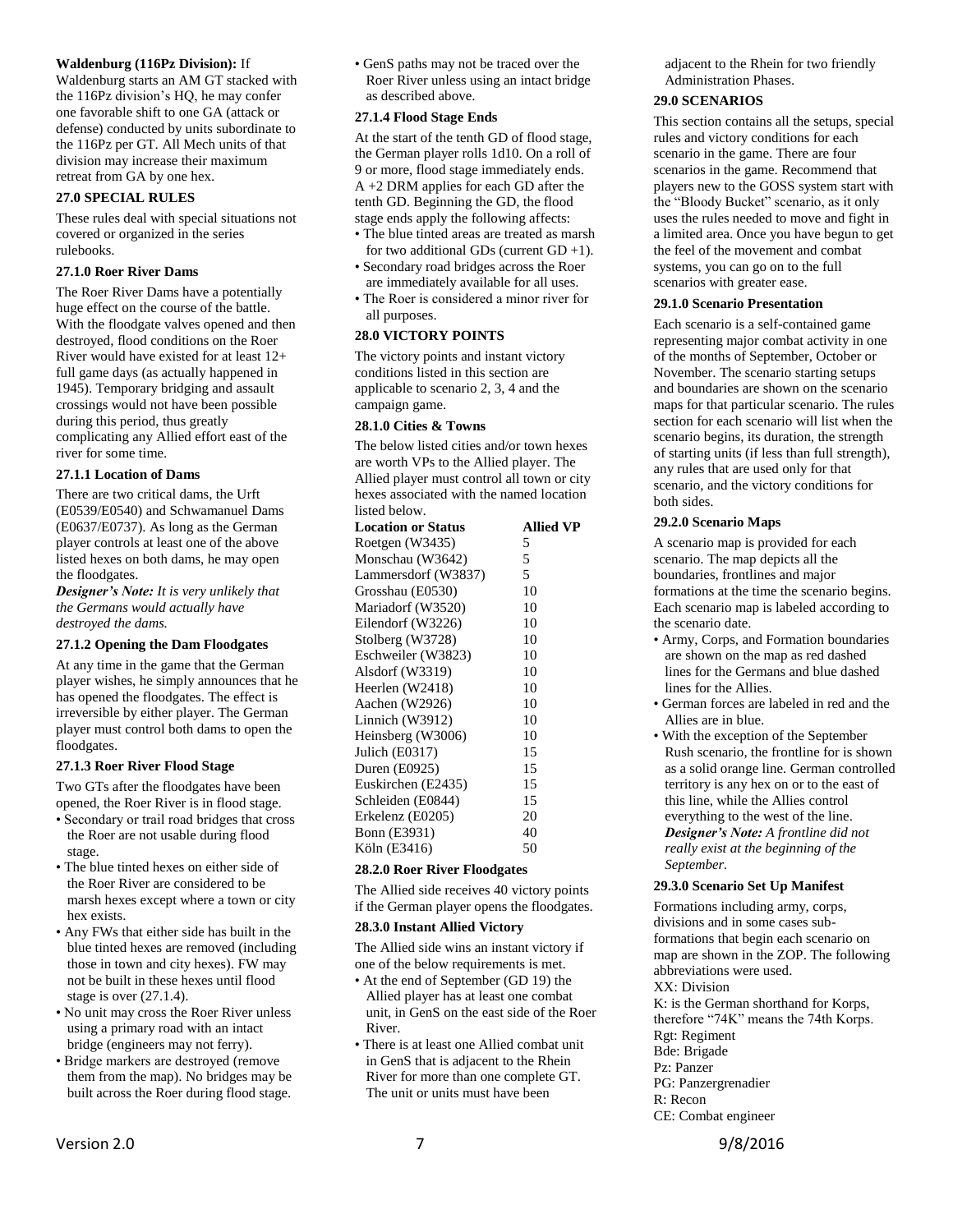#### **Waldenburg (116Pz Division):** If

Waldenburg starts an AM GT stacked with the 116Pz division's HQ, he may confer one favorable shift to one GA (attack or defense) conducted by units subordinate to the 116Pz per GT. All Mech units of that division may increase their maximum retreat from GA by one hex.

#### <span id="page-6-0"></span>**27.0 SPECIAL RULES**

These rules deal with special situations not covered or organized in the series rulebooks.

#### <span id="page-6-1"></span>**27.1.0 Roer River Dams**

The Roer River Dams have a potentially huge effect on the course of the battle. With the floodgate valves opened and then destroyed, flood conditions on the Roer River would have existed for at least 12+ full game days (as actually happened in 1945). Temporary bridging and assault crossings would not have been possible during this period, thus greatly complicating any Allied effort east of the river for some time.

#### <span id="page-6-2"></span>**27.1.1 Location of Dams**

There are two critical dams, the Urft (E0539/E0540) and Schwamanuel Dams (E0637/E0737). As long as the German player controls at least one of the above listed hexes on both dams, he may open the floodgates.

*Designer's Note: It is very unlikely that the Germans would actually have destroyed the dams.* 

#### <span id="page-6-3"></span>**27.1.2 Opening the Dam Floodgates**

At any time in the game that the German player wishes, he simply announces that he has opened the floodgates. The effect is irreversible by either player. The German player must control both dams to open the floodgates.

#### <span id="page-6-4"></span>**27.1.3 Roer River Flood Stage**

Two GTs after the floodgates have been opened, the Roer River is in flood stage.

- Secondary or trail road bridges that cross the Roer are not usable during flood stage.
- The blue tinted hexes on either side of the Roer River are considered to be marsh hexes except where a town or city hex exists.
- Any FWs that either side has built in the blue tinted hexes are removed (including those in town and city hexes). FW may not be built in these hexes until flood stage is over (27.1.4).
- No unit may cross the Roer River unless using a primary road with an intact bridge (engineers may not ferry).
- Bridge markers are destroyed (remove them from the map). No bridges may be built across the Roer during flood stage.

• GenS paths may not be traced over the Roer River unless using an intact bridge as described above.

#### <span id="page-6-5"></span>**27.1.4 Flood Stage Ends**

At the start of the tenth GD of flood stage, the German player rolls 1d10. On a roll of 9 or more, flood stage immediately ends. A +2 DRM applies for each GD after the tenth GD. Beginning the GD, the flood stage ends apply the following affects:

- The blue tinted areas are treated as marsh for two additional GDs (current  $GD + 1$ ).
- Secondary road bridges across the Roer are immediately available for all uses.
- The Roer is considered a minor river for all purposes.

# <span id="page-6-6"></span>**28.0 VICTORY POINTS**

The victory points and instant victory conditions listed in this section are applicable to scenario 2, 3, 4 and the campaign game.

#### <span id="page-6-7"></span>**28.1.0 Cities & Towns**

The below listed cities and/or town hexes are worth VPs to the Allied player. The Allied player must control all town or city hexes associated with the named location listed below.

| <b>Location or Status</b> | Allied VP |
|---------------------------|-----------|
| Roetgen (W3435)           | 5         |
| Monschau (W3642)          | 5         |
| Lammersdorf (W3837)       | 5         |
| Grosshau (E0530)          | 10        |
| Mariadorf (W3520)         | 10        |
| Eilendorf (W3226)         | 10        |
| Stolberg (W3728)          | 10        |
| Eschweiler (W3823)        | 10        |
| Alsdorf (W3319)           | 10        |
| Heerlen (W2418)           | 10        |
| Aachen (W2926)            | 10        |
| Linnich $(W3912)$         | 10        |
| Heinsberg (W3006)         | 10        |
| Julich (E0317)            | 15        |
| Duren $(E0925)$           | 15        |
| Euskirchen (E2435)        | 15        |
| Schleiden (E0844)         | 15        |
| Erkelenz (E0205)          | 20        |
| <b>Bonn</b> (E3931)       | 40        |
| Köln (E3416)              | 50        |

## <span id="page-6-8"></span>**28.2.0 Roer River Floodgates**

The Allied side receives 40 victory points if the German player opens the floodgates.

#### <span id="page-6-9"></span>**28.3.0 Instant Allied Victory**

The Allied side wins an instant victory if one of the below requirements is met.

- At the end of September (GD 19) the Allied player has at least one combat unit, in GenS on the east side of the Roer River.
- There is at least one Allied combat unit in GenS that is adjacent to the Rhein River for more than one complete GT. The unit or units must have been

adjacent to the Rhein for two friendly Administration Phases.

# <span id="page-6-10"></span>**29.0 SCENARIOS**

This section contains all the setups, special rules and victory conditions for each scenario in the game. There are four scenarios in the game. Recommend that players new to the GOSS system start with the "Bloody Bucket" scenario, as it only uses the rules needed to move and fight in a limited area. Once you have begun to get the feel of the movement and combat systems, you can go on to the full scenarios with greater ease.

#### <span id="page-6-11"></span>**29.1.0 Scenario Presentation**

Each scenario is a self-contained game representing major combat activity in one of the months of September, October or November. The scenario starting setups and boundaries are shown on the scenario maps for that particular scenario. The rules section for each scenario will list when the scenario begins, its duration, the strength of starting units (if less than full strength), any rules that are used only for that scenario, and the victory conditions for both sides.

# <span id="page-6-12"></span>**29.2.0 Scenario Maps**

A scenario map is provided for each scenario. The map depicts all the boundaries, frontlines and major formations at the time the scenario begins. Each scenario map is labeled according to the scenario date.

- Army, Corps, and Formation boundaries are shown on the map as red dashed lines for the Germans and blue dashed lines for the Allies.
- German forces are labeled in red and the Allies are in blue.
- With the exception of the September Rush scenario, the frontline for is shown as a solid orange line. German controlled territory is any hex on or to the east of this line, while the Allies control everything to the west of the line. *Designer's Note: A frontline did not really exist at the beginning of the September.*

#### <span id="page-6-13"></span>**29.3.0 Scenario Set Up Manifest**

Formations including army, corps, divisions and in some cases subformations that begin each scenario on map are shown in the ZOP. The following abbreviations were used. XX: Division K: is the German shorthand for Korps, therefore "74K" means the 74th Korps. Rgt: Regiment Bde: Brigade Pz: Panzer PG: Panzergrenadier R: Recon CE: Combat engineer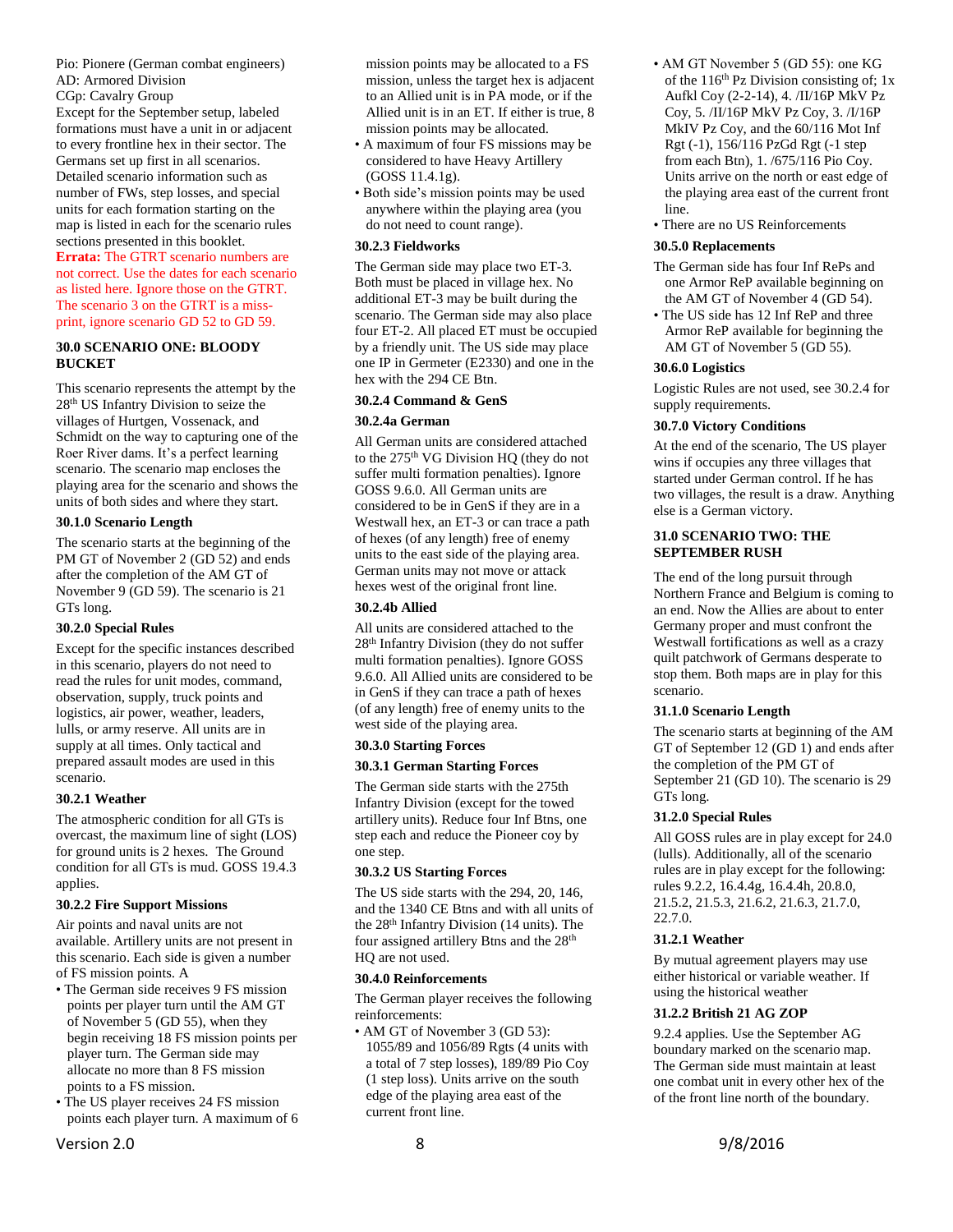Pio: Pionere (German combat engineers) AD: Armored Division CGp: Cavalry Group Except for the September setup, labeled formations must have a unit in or adjacent to every frontline hex in their sector. The Germans set up first in all scenarios. Detailed scenario information such as number of FWs, step losses, and special units for each formation starting on the map is listed in each for the scenario rules sections presented in this booklet. **Errata:** The GTRT scenario numbers are not correct. Use the dates for each scenario as listed here. Ignore those on the GTRT. The scenario 3 on the GTRT is a missprint, ignore scenario GD 52 to GD 59.

#### <span id="page-7-0"></span>**30.0 SCENARIO ONE: BLOODY BUCKET**

This scenario represents the attempt by the 28th US Infantry Division to seize the villages of Hurtgen, Vossenack, and Schmidt on the way to capturing one of the Roer River dams. It's a perfect learning scenario. The scenario map encloses the playing area for the scenario and shows the units of both sides and where they start.

#### <span id="page-7-1"></span>**30.1.0 Scenario Length**

The scenario starts at the beginning of the PM GT of November 2 (GD 52) and ends after the completion of the AM GT of November 9 (GD 59). The scenario is 21 GTs long.

# <span id="page-7-2"></span>**30.2.0 Special Rules**

Except for the specific instances described in this scenario, players do not need to read the rules for unit modes, command, observation, supply, truck points and logistics, air power, weather, leaders, lulls, or army reserve. All units are in supply at all times. Only tactical and prepared assault modes are used in this scenario.

# <span id="page-7-3"></span>**30.2.1 Weather**

The atmospheric condition for all GTs is overcast, the maximum line of sight (LOS) for ground units is 2 hexes. The Ground condition for all GTs is mud. GOSS 19.4.3 applies.

#### <span id="page-7-4"></span>**30.2.2 Fire Support Missions**

Air points and naval units are not available. Artillery units are not present in this scenario. Each side is given a number of FS mission points. A

- The German side receives 9 FS mission points per player turn until the AM GT of November 5 (GD 55), when they begin receiving 18 FS mission points per player turn. The German side may allocate no more than 8 FS mission points to a FS mission.
- The US player receives 24 FS mission points each player turn. A maximum of 6

Version 2.0 8 9/8/2016

mission points may be allocated to a FS mission, unless the target hex is adjacent to an Allied unit is in PA mode, or if the Allied unit is in an ET. If either is true, 8 mission points may be allocated.

- A maximum of four FS missions may be considered to have Heavy Artillery (GOSS 11.4.1g).
- Both side's mission points may be used anywhere within the playing area (you do not need to count range).

#### <span id="page-7-5"></span>**30.2.3 Fieldworks**

The German side may place two ET-3. Both must be placed in village hex. No additional ET-3 may be built during the scenario. The German side may also place four ET-2. All placed ET must be occupied by a friendly unit. The US side may place one IP in Germeter (E2330) and one in the hex with the 294 CE Btn.

# <span id="page-7-6"></span>**30.2.4 Command & GenS**

# <span id="page-7-7"></span>**30.2.4a German**

All German units are considered attached to the 275<sup>th</sup> VG Division HQ (they do not suffer multi formation penalties). Ignore GOSS 9.6.0. All German units are considered to be in GenS if they are in a Westwall hex, an ET-3 or can trace a path of hexes (of any length) free of enemy units to the east side of the playing area. German units may not move or attack hexes west of the original front line.

## <span id="page-7-8"></span>**30.2.4b Allied**

All units are considered attached to the 28th Infantry Division (they do not suffer multi formation penalties). Ignore GOSS 9.6.0. All Allied units are considered to be in GenS if they can trace a path of hexes (of any length) free of enemy units to the west side of the playing area.

# <span id="page-7-9"></span>**30.3.0 Starting Forces**

#### <span id="page-7-10"></span>**30.3.1 German Starting Forces**

The German side starts with the 275th Infantry Division (except for the towed artillery units). Reduce four Inf Btns, one step each and reduce the Pioneer coy by one step.

#### <span id="page-7-11"></span>**30.3.2 US Starting Forces**

The US side starts with the 294, 20, 146, and the 1340 CE Btns and with all units of the 28<sup>th</sup> Infantry Division (14 units). The four assigned artillery Btns and the 28<sup>th</sup> HQ are not used.

#### <span id="page-7-12"></span>**30.4.0 Reinforcements**

The German player receives the following reinforcements:

• AM GT of November 3 (GD 53): 1055/89 and 1056/89 Rgts (4 units with a total of 7 step losses), 189/89 Pio Coy (1 step loss). Units arrive on the south edge of the playing area east of the current front line.

- AM GT November 5 (GD 55): one KG of the  $116<sup>th</sup>$  Pz Division consisting of; 1x Aufkl Coy (2-2-14), 4. /II/16P MkV Pz Coy, 5. /II/16P MkV Pz Coy, 3. /I/16P MkIV Pz Coy, and the 60/116 Mot Inf Rgt (-1), 156/116 PzGd Rgt (-1 step from each Btn), 1. /675/116 Pio Coy. Units arrive on the north or east edge of the playing area east of the current front line.
- There are no US Reinforcements

## <span id="page-7-13"></span>**30.5.0 Replacements**

- The German side has four Inf RePs and one Armor ReP available beginning on the AM GT of November 4 (GD 54).
- The US side has 12 Inf ReP and three Armor ReP available for beginning the AM GT of November 5 (GD 55).

#### <span id="page-7-14"></span>**30.6.0 Logistics**

Logistic Rules are not used, see 30.2.4 for supply requirements.

#### <span id="page-7-15"></span>**30.7.0 Victory Conditions**

At the end of the scenario, The US player wins if occupies any three villages that started under German control. If he has two villages, the result is a draw. Anything else is a German victory.

#### <span id="page-7-16"></span>**31.0 SCENARIO TWO: THE SEPTEMBER RUSH**

The end of the long pursuit through Northern France and Belgium is coming to an end. Now the Allies are about to enter Germany proper and must confront the Westwall fortifications as well as a crazy quilt patchwork of Germans desperate to stop them. Both maps are in play for this scenario.

## <span id="page-7-17"></span>**31.1.0 Scenario Length**

The scenario starts at beginning of the AM GT of September 12 (GD 1) and ends after the completion of the PM GT of September 21 (GD 10). The scenario is 29 GTs long.

#### <span id="page-7-18"></span>**31.2.0 Special Rules**

All GOSS rules are in play except for 24.0 (lulls). Additionally, all of the scenario rules are in play except for the following: rules 9.2.2, 16.4.4g, 16.4.4h, 20.8.0, 21.5.2, 21.5.3, 21.6.2, 21.6.3, 21.7.0, 22.7.0.

#### <span id="page-7-19"></span>**31.2.1 Weather**

By mutual agreement players may use either historical or variable weather. If using the historical weather

#### <span id="page-7-20"></span>**31.2.2 British 21 AG ZOP**

9.2.4 applies. Use the September AG boundary marked on the scenario map. The German side must maintain at least one combat unit in every other hex of the of the front line north of the boundary.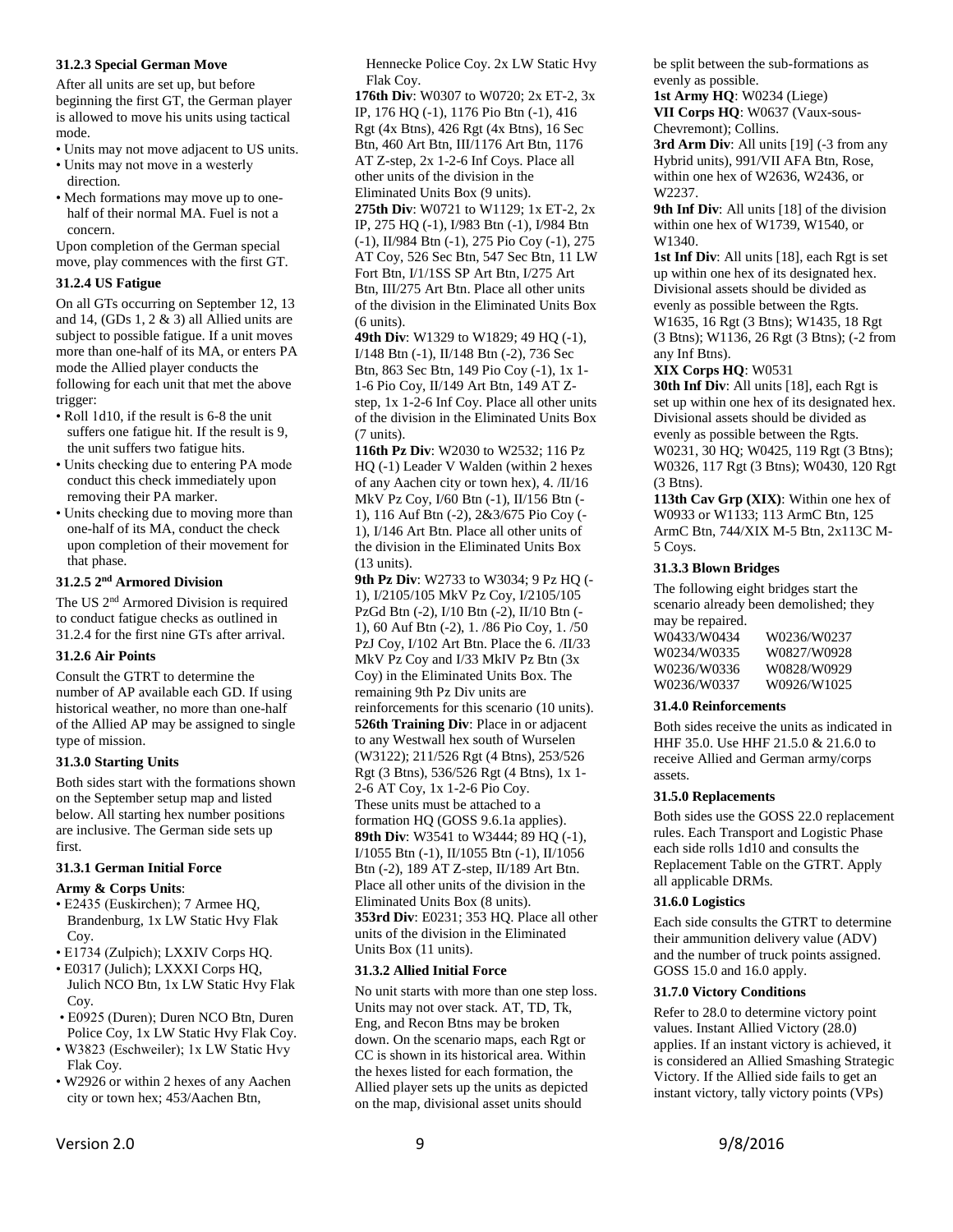#### <span id="page-8-0"></span>**31.2.3 Special German Move**

After all units are set up, but before beginning the first GT, the German player is allowed to move his units using tactical mode.

- Units may not move adjacent to US units.
- Units may not move in a westerly direction.
- Mech formations may move up to onehalf of their normal MA. Fuel is not a concern.

Upon completion of the German special move, play commences with the first GT.

# <span id="page-8-1"></span>**31.2.4 US Fatigue**

On all GTs occurring on September 12, 13 and 14, (GDs 1, 2 & 3) all Allied units are subject to possible fatigue. If a unit moves more than one-half of its MA, or enters PA mode the Allied player conducts the following for each unit that met the above trigger:

- Roll 1d10, if the result is 6-8 the unit suffers one fatigue hit. If the result is 9, the unit suffers two fatigue hits.
- Units checking due to entering PA mode conduct this check immediately upon removing their PA marker.
- Units checking due to moving more than one-half of its MA, conduct the check upon completion of their movement for that phase.

#### <span id="page-8-2"></span>**31.2.5 2 nd Armored Division**

The US 2<sup>nd</sup> Armored Division is required to conduct fatigue checks as outlined in 31.2.4 for the first nine GTs after arrival.

# <span id="page-8-3"></span>**31.2.6 Air Points**

Consult the GTRT to determine the number of AP available each GD. If using historical weather, no more than one-half of the Allied AP may be assigned to single type of mission.

#### <span id="page-8-4"></span>**31.3.0 Starting Units**

Both sides start with the formations shown on the September setup map and listed below. All starting hex number positions are inclusive. The German side sets up first.

# <span id="page-8-5"></span>**31.3.1 German Initial Force**

#### **Army & Corps Units**:

- E2435 (Euskirchen); 7 Armee HQ, Brandenburg, 1x LW Static Hvy Flak Coy.
- E1734 (Zulpich); LXXIV Corps HQ.
- E0317 (Julich); LXXXI Corps HQ, Julich NCO Btn, 1x LW Static Hvy Flak Coy.
- E0925 (Duren); Duren NCO Btn, Duren Police Coy, 1x LW Static Hvy Flak Coy.
- W3823 (Eschweiler); 1x LW Static Hvy Flak Coy.
- W2926 or within 2 hexes of any Aachen city or town hex; 453/Aachen Btn,

Hennecke Police Coy. 2x LW Static Hvy Flak Coy.

**176th Div**: W0307 to W0720; 2x ET-2, 3x IP, 176 HQ (-1), 1176 Pio Btn (-1), 416 Rgt (4x Btns), 426 Rgt (4x Btns), 16 Sec Btn, 460 Art Btn, III/1176 Art Btn, 1176 AT Z-step, 2x 1-2-6 Inf Coys. Place all other units of the division in the Eliminated Units Box (9 units). **275th Div**: W0721 to W1129; 1x ET-2, 2x IP, 275 HQ (-1), I/983 Btn (-1), I/984 Btn (-1), II/984 Btn (-1), 275 Pio Coy (-1), 275 AT Coy, 526 Sec Btn, 547 Sec Btn, 11 LW Fort Btn, I/1/1SS SP Art Btn, I/275 Art Btn, III/275 Art Btn. Place all other units of the division in the Eliminated Units Box  $(6 \text{ units})$ .

**49th Div**: W1329 to W1829: 49 HO (-1). I/148 Btn (-1), II/148 Btn (-2), 736 Sec Btn, 863 Sec Btn, 149 Pio Coy (-1), 1x 1- 1-6 Pio Coy, II/149 Art Btn, 149 AT Zstep, 1x 1-2-6 Inf Coy. Place all other units of the division in the Eliminated Units Box (7 units).

**116th Pz Div**: W2030 to W2532; 116 Pz HQ (-1) Leader V Walden (within 2 hexes of any Aachen city or town hex), 4. /II/16 MkV Pz Coy, I/60 Btn (-1), II/156 Btn (- 1), 116 Auf Btn (-2), 2&3/675 Pio Coy (- 1), I/146 Art Btn. Place all other units of the division in the Eliminated Units Box (13 units).

**9th Pz Div**: W2733 to W3034; 9 Pz HQ (- 1), I/2105/105 MkV Pz Coy, I/2105/105 PzGd Btn (-2), I/10 Btn (-2), II/10 Btn (- 1), 60 Auf Btn (-2), 1. /86 Pio Coy, 1. /50 PzJ Coy, I/102 Art Btn. Place the 6. /II/33 MkV Pz Coy and I/33 MkIV Pz Btn (3x Coy) in the Eliminated Units Box. The remaining 9th Pz Div units are reinforcements for this scenario (10 units). **526th Training Div**: Place in or adjacent to any Westwall hex south of Wurselen (W3122); 211/526 Rgt (4 Btns), 253/526 Rgt (3 Btns), 536/526 Rgt (4 Btns), 1x 1- 2-6 AT Coy, 1x 1-2-6 Pio Coy. These units must be attached to a formation HQ (GOSS 9.6.1a applies). **89th Div**: W3541 to W3444; 89 HQ (-1), I/1055 Btn (-1), II/1055 Btn (-1), II/1056 Btn (-2), 189 AT Z-step, II/189 Art Btn. Place all other units of the division in the Eliminated Units Box (8 units). **353rd Div**: E0231; 353 HQ. Place all other units of the division in the Eliminated Units Box (11 units).

#### <span id="page-8-6"></span>**31.3.2 Allied Initial Force**

No unit starts with more than one step loss. Units may not over stack. AT, TD, Tk, Eng, and Recon Btns may be broken down. On the scenario maps, each Rgt or CC is shown in its historical area. Within the hexes listed for each formation, the Allied player sets up the units as depicted on the map, divisional asset units should

be split between the sub-formations as evenly as possible.

**1st Army HQ**: W0234 (Liege) **VII Corps HQ**: W0637 (Vaux-sous-Chevremont); Collins.

3rd Arm Div: All units [19] (-3 from any Hybrid units), 991/VII AFA Btn, Rose, within one hex of W2636, W2436, or W2237.

**9th Inf Div**: All units [18] of the division within one hex of W1739, W1540, or W1340.

**1st Inf Div**: All units [18], each Rgt is set up within one hex of its designated hex. Divisional assets should be divided as evenly as possible between the Rgts. W1635, 16 Rgt (3 Btns); W1435, 18 Rgt (3 Btns); W1136, 26 Rgt (3 Btns); (-2 from any Inf Btns).

**XIX Corps HQ**: W0531

**30th Inf Div**: All units [18], each Rgt is set up within one hex of its designated hex. Divisional assets should be divided as evenly as possible between the Rgts. W0231, 30 HQ; W0425, 119 Rgt (3 Btns); W0326, 117 Rgt (3 Btns); W0430, 120 Rgt (3 Btns).

**113th Cav Grp (XIX)**: Within one hex of W0933 or W1133; 113 ArmC Btn, 125 ArmC Btn, 744/XIX M-5 Btn, 2x113C M-5 Coys.

#### <span id="page-8-7"></span>**31.3.3 Blown Bridges**

The following eight bridges start the scenario already been demolished; they may be repaired. W0433/W0434 W0236/W0237 W0234/W0335 W0827/W0928 W0236/W0336 W0828/W0929 W0236/W0337 W0926/W1025

#### <span id="page-8-8"></span>**31.4.0 Reinforcements**

Both sides receive the units as indicated in HHF 35.0. Use HHF 21.5.0 & 21.6.0 to receive Allied and German army/corps assets.

#### <span id="page-8-9"></span>**31.5.0 Replacements**

Both sides use the GOSS 22.0 replacement rules. Each Transport and Logistic Phase each side rolls 1d10 and consults the Replacement Table on the GTRT. Apply all applicable DRMs.

## <span id="page-8-10"></span>**31.6.0 Logistics**

Each side consults the GTRT to determine their ammunition delivery value (ADV) and the number of truck points assigned. GOSS 15.0 and 16.0 apply.

#### <span id="page-8-11"></span>**31.7.0 Victory Conditions**

Refer to 28.0 to determine victory point values. Instant Allied Victory (28.0) applies. If an instant victory is achieved, it is considered an Allied Smashing Strategic Victory. If the Allied side fails to get an instant victory, tally victory points (VPs)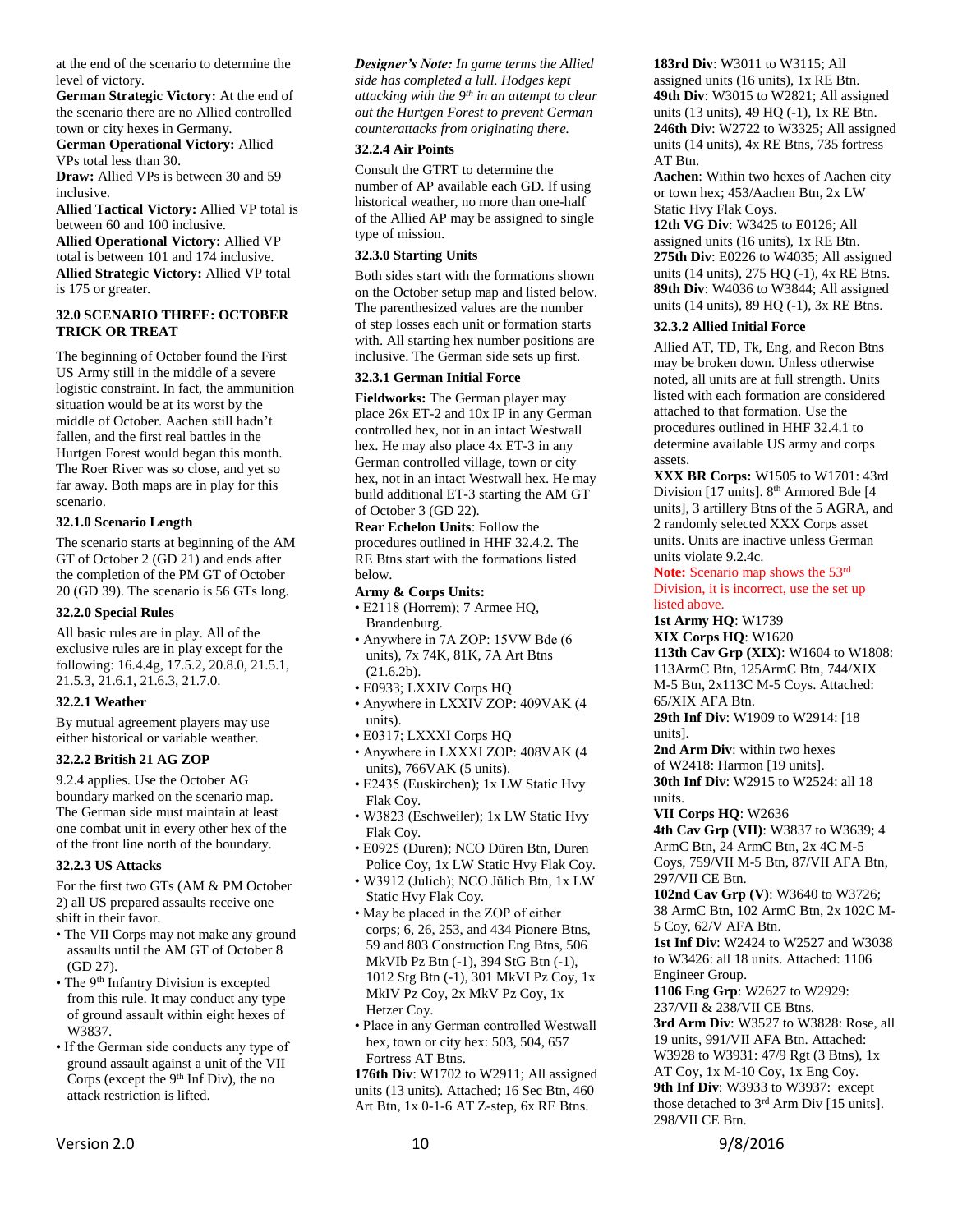at the end of the scenario to determine the level of victory.

**German Strategic Victory:** At the end of the scenario there are no Allied controlled town or city hexes in Germany.

**German Operational Victory:** Allied VPs total less than 30.

**Draw:** Allied VPs is between 30 and 59 inclusive.

**Allied Tactical Victory:** Allied VP total is between 60 and 100 inclusive.

**Allied Operational Victory:** Allied VP total is between 101 and 174 inclusive. **Allied Strategic Victory:** Allied VP total is 175 or greater.

#### <span id="page-9-0"></span>**32.0 SCENARIO THREE: OCTOBER TRICK OR TREAT**

The beginning of October found the First US Army still in the middle of a severe logistic constraint. In fact, the ammunition situation would be at its worst by the middle of October. Aachen still hadn't fallen, and the first real battles in the Hurtgen Forest would began this month. The Roer River was so close, and yet so far away. Both maps are in play for this scenario.

# <span id="page-9-1"></span>**32.1.0 Scenario Length**

The scenario starts at beginning of the AM GT of October 2 (GD 21) and ends after the completion of the PM GT of October 20 (GD 39). The scenario is 56 GTs long.

#### <span id="page-9-2"></span>**32.2.0 Special Rules**

All basic rules are in play. All of the exclusive rules are in play except for the following: 16.4.4g, 17.5.2, 20.8.0, 21.5.1, 21.5.3, 21.6.1, 21.6.3, 21.7.0.

#### <span id="page-9-3"></span>**32.2.1 Weather**

By mutual agreement players may use either historical or variable weather.

#### <span id="page-9-4"></span>**32.2.2 British 21 AG ZOP**

9.2.4 applies. Use the October AG boundary marked on the scenario map. The German side must maintain at least one combat unit in every other hex of the of the front line north of the boundary.

#### <span id="page-9-5"></span>**32.2.3 US Attacks**

For the first two GTs (AM & PM October 2) all US prepared assaults receive one shift in their favor.

- The VII Corps may not make any ground assaults until the AM GT of October 8 (GD 27).
- The 9<sup>th</sup> Infantry Division is excepted from this rule. It may conduct any type of ground assault within eight hexes of W3837.
- If the German side conducts any type of ground assault against a unit of the VII Corps (except the 9<sup>th</sup> Inf Div), the no attack restriction is lifted.

*Designer's Note: In game terms the Allied side has completed a lull. Hodges kept attacking with the 9th in an attempt to clear out the Hurtgen Forest to prevent German counterattacks from originating there.*

#### <span id="page-9-6"></span>**32.2.4 Air Points**

Consult the GTRT to determine the number of AP available each GD. If using historical weather, no more than one-half of the Allied AP may be assigned to single type of mission.

#### <span id="page-9-7"></span>**32.3.0 Starting Units**

Both sides start with the formations shown on the October setup map and listed below. The parenthesized values are the number of step losses each unit or formation starts with. All starting hex number positions are inclusive. The German side sets up first.

# <span id="page-9-8"></span>**32.3.1 German Initial Force**

**Fieldworks:** The German player may place 26x ET-2 and 10x IP in any German controlled hex, not in an intact Westwall hex. He may also place 4x ET-3 in any German controlled village, town or city hex, not in an intact Westwall hex. He may build additional ET-3 starting the AM GT of October 3 (GD 22).

**Rear Echelon Units**: Follow the procedures outlined in HHF 32.4.2. The RE Btns start with the formations listed below.

#### **Army & Corps Units:**

- E2118 (Horrem); 7 Armee HQ, Brandenburg.
- Anywhere in 7A ZOP: 15VW Bde (6 units), 7x 74K, 81K, 7A Art Btns (21.6.2b).
- E0933; LXXIV Corps HQ
- Anywhere in LXXIV ZOP: 409VAK (4 units).
- E0317; LXXXI Corps HQ
- Anywhere in LXXXI ZOP: 408VAK (4 units), 766VAK (5 units).
- E2435 (Euskirchen); 1x LW Static Hvy Flak Coy.
- W3823 (Eschweiler); 1x LW Static Hvy Flak Coy.
- E0925 (Duren); NCO Düren Btn, Duren Police Coy, 1x LW Static Hvy Flak Coy.
- W3912 (Julich); NCO Jülich Btn, 1x LW Static Hvy Flak Coy.
- May be placed in the ZOP of either corps; 6, 26, 253, and 434 Pionere Btns, 59 and 803 Construction Eng Btns, 506 MkVIb Pz Btn (-1), 394 StG Btn (-1), 1012 Stg Btn (-1), 301 MkVI Pz Coy, 1x MkIV Pz Coy, 2x MkV Pz Coy, 1x Hetzer Coy.
- Place in any German controlled Westwall hex, town or city hex: 503, 504, 657 Fortress AT Btns.

**176th Div**: W1702 to W2911; All assigned units (13 units). Attached; 16 Sec Btn, 460 Art Btn, 1x 0-1-6 AT Z-step, 6x RE Btns.

**183rd Div**: W3011 to W3115; All assigned units (16 units), 1x RE Btn. **49th Div**: W3015 to W2821; All assigned units (13 units), 49 HQ (-1), 1x RE Btn. **246th Div**: W2722 to W3325; All assigned units (14 units), 4x RE Btns, 735 fortress AT Btn.

**Aachen**: Within two hexes of Aachen city or town hex; 453/Aachen Btn, 2x LW Static Hvy Flak Coys.

**12th VG Div**: W3425 to E0126; All assigned units (16 units), 1x RE Btn. **275th Div**: E0226 to W4035; All assigned units (14 units), 275 HQ (-1), 4x RE Btns. **89th Div**: W4036 to W3844; All assigned units (14 units), 89 HQ (-1), 3x RE Btns.

#### <span id="page-9-9"></span>**32.3.2 Allied Initial Force**

Allied AT, TD, Tk, Eng, and Recon Btns may be broken down. Unless otherwise noted, all units are at full strength. Units listed with each formation are considered attached to that formation. Use the procedures outlined in HHF 32.4.1 to determine available US army and corps assets.

**XXX BR Corps:** W1505 to W1701: 43rd Division [17 units]. 8<sup>th</sup> Armored Bde [4 units], 3 artillery Btns of the 5 AGRA, and 2 randomly selected XXX Corps asset units. Units are inactive unless German units violate 9.2.4c.

**Note:** Scenario map shows the 53rd Division, it is incorrect, use the set up listed above.

**1st Army HQ**: W1739

**XIX Corps HQ**: W1620 **113th Cav Grp (XIX)**: W1604 to W1808: 113ArmC Btn, 125ArmC Btn, 744/XIX M-5 Btn, 2x113C M-5 Coys. Attached:

65/XIX AFA Btn. **29th Inf Div**: W1909 to W2914: [18

units].

**2nd Arm Div**: within two hexes

of W2418: Harmon [19 units]. **30th Inf Div**: W2915 to W2524: all 18 units.

**VII Corps HQ**: W2636

**4th Cav Grp (VII)**: W3837 to W3639; 4 ArmC Btn, 24 ArmC Btn, 2x 4C M-5 Coys, 759/VII M-5 Btn, 87/VII AFA Btn, 297/VII CE Btn.

**102nd Cav Grp (V)**: W3640 to W3726; 38 ArmC Btn, 102 ArmC Btn, 2x 102C M-5 Coy, 62/V AFA Btn.

**1st Inf Div**: W2424 to W2527 and W3038 to W3426: all 18 units. Attached: 1106 Engineer Group.

**1106 Eng Grp**: W2627 to W2929: 237/VII & 238/VII CE Btns. **3rd Arm Div**: W3527 to W3828: Rose, all 19 units, 991/VII AFA Btn. Attached: W3928 to W3931: 47/9 Rgt (3 Btns), 1x

AT Coy, 1x M-10 Coy, 1x Eng Coy. **9th Inf Div**: W3933 to W3937: except those detached to 3rd Arm Div [15 units]. 298/VII CE Btn.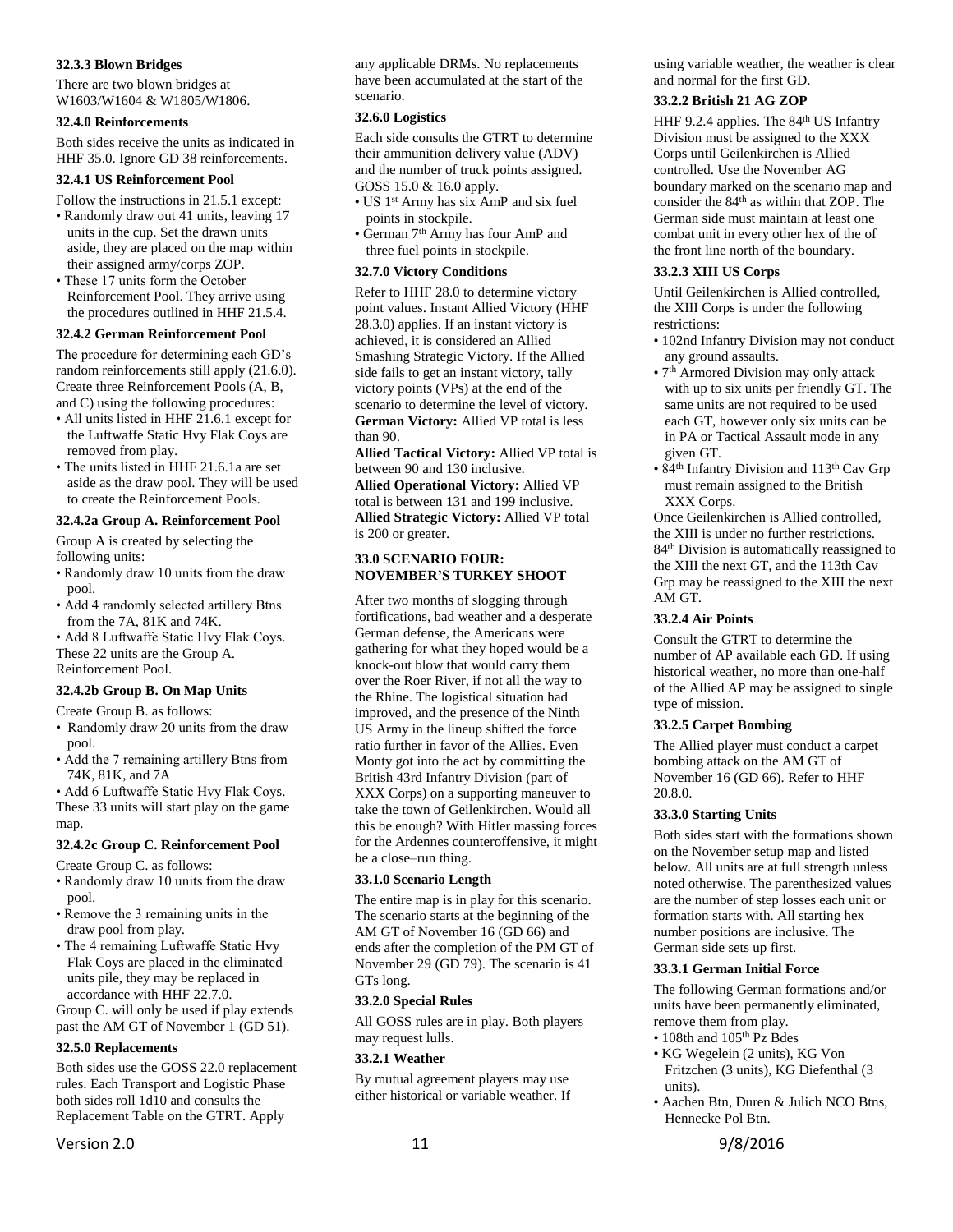#### <span id="page-10-0"></span>**32.3.3 Blown Bridges**

There are two blown bridges at W1603/W1604 & W1805/W1806.

#### <span id="page-10-1"></span>**32.4.0 Reinforcements**

Both sides receive the units as indicated in HHF 35.0. Ignore GD 38 reinforcements.

# <span id="page-10-2"></span>**32.4.1 US Reinforcement Pool**

- Follow the instructions in 21.5.1 except: • Randomly draw out 41 units, leaving 17 units in the cup. Set the drawn units aside, they are placed on the map within
- their assigned army/corps ZOP. • These 17 units form the October Reinforcement Pool. They arrive using the procedures outlined in HHF 21.5.4.

## <span id="page-10-3"></span>**32.4.2 German Reinforcement Pool**

The procedure for determining each GD's random reinforcements still apply (21.6.0). Create three Reinforcement Pools (A, B, and C) using the following procedures:

- All units listed in HHF 21.6.1 except for the Luftwaffe Static Hvy Flak Coys are removed from play.
- The units listed in HHF 21.6.1a are set aside as the draw pool. They will be used to create the Reinforcement Pools.

# <span id="page-10-4"></span>**32.4.2a Group A. Reinforcement Pool**

Group A is created by selecting the following units:

- Randomly draw 10 units from the draw pool.
- Add 4 randomly selected artillery Btns from the 7A, 81K and 74K.

• Add 8 Luftwaffe Static Hvy Flak Coys. These 22 units are the Group A.

Reinforcement Pool.

## <span id="page-10-5"></span>**32.4.2b Group B. On Map Units**

Create Group B. as follows:

- Randomly draw 20 units from the draw pool.
- Add the 7 remaining artillery Btns from 74K, 81K, and 7A

• Add 6 Luftwaffe Static Hvy Flak Coys. These 33 units will start play on the game map.

#### <span id="page-10-6"></span>**32.4.2c Group C. Reinforcement Pool**

Create Group C. as follows:

- Randomly draw 10 units from the draw pool.
- Remove the 3 remaining units in the draw pool from play.
- The 4 remaining Luftwaffe Static Hvy Flak Coys are placed in the eliminated units pile, they may be replaced in accordance with HHF 22.7.0.

Group C. will only be used if play extends past the AM GT of November 1 (GD 51).

#### <span id="page-10-7"></span>**32.5.0 Replacements**

Both sides use the GOSS 22.0 replacement rules. Each Transport and Logistic Phase both sides roll 1d10 and consults the Replacement Table on the GTRT. Apply

any applicable DRMs. No replacements have been accumulated at the start of the scenario.

## <span id="page-10-8"></span>**32.6.0 Logistics**

Each side consults the GTRT to determine their ammunition delivery value (ADV) and the number of truck points assigned. GOSS 15.0 & 16.0 apply.

- US 1<sup>st</sup> Army has six AmP and six fuel points in stockpile.
- German 7 th Army has four AmP and three fuel points in stockpile.

#### <span id="page-10-9"></span>**32.7.0 Victory Conditions**

Refer to HHF 28.0 to determine victory point values. Instant Allied Victory (HHF 28.3.0) applies. If an instant victory is achieved, it is considered an Allied Smashing Strategic Victory. If the Allied side fails to get an instant victory, tally victory points (VPs) at the end of the scenario to determine the level of victory. **German Victory:** Allied VP total is less than 90.

**Allied Tactical Victory:** Allied VP total is between 90 and 130 inclusive.

**Allied Operational Victory:** Allied VP total is between 131 and 199 inclusive. **Allied Strategic Victory:** Allied VP total is 200 or greater.

#### <span id="page-10-10"></span>**33.0 SCENARIO FOUR: NOVEMBER'S TURKEY SHOOT**

After two months of slogging through fortifications, bad weather and a desperate German defense, the Americans were gathering for what they hoped would be a knock-out blow that would carry them over the Roer River, if not all the way to the Rhine. The logistical situation had improved, and the presence of the Ninth US Army in the lineup shifted the force ratio further in favor of the Allies. Even Monty got into the act by committing the British 43rd Infantry Division (part of XXX Corps) on a supporting maneuver to take the town of Geilenkirchen. Would all this be enough? With Hitler massing forces for the Ardennes counteroffensive, it might be a close–run thing.

#### <span id="page-10-11"></span>**33.1.0 Scenario Length**

The entire map is in play for this scenario. The scenario starts at the beginning of the AM GT of November 16 (GD 66) and ends after the completion of the PM GT of November 29 (GD 79). The scenario is 41 GTs long.

#### <span id="page-10-12"></span>**33.2.0 Special Rules**

All GOSS rules are in play. Both players may request lulls.

## <span id="page-10-13"></span>**33.2.1 Weather**

By mutual agreement players may use either historical or variable weather. If

## <span id="page-10-14"></span>**33.2.2 British 21 AG ZOP**

HHF 9.2.4 applies. The 84<sup>th</sup> US Infantry Division must be assigned to the XXX Corps until Geilenkirchen is Allied controlled. Use the November AG boundary marked on the scenario map and consider the 84th as within that ZOP. The German side must maintain at least one combat unit in every other hex of the of the front line north of the boundary.

#### <span id="page-10-15"></span>**33.2.3 XIII US Corps**

Until Geilenkirchen is Allied controlled, the XIII Corps is under the following restrictions:

- 102nd Infantry Division may not conduct any ground assaults.
- 7<sup>th</sup> Armored Division may only attack with up to six units per friendly GT. The same units are not required to be used each GT, however only six units can be in PA or Tactical Assault mode in any given GT.
- 84<sup>th</sup> Infantry Division and 113<sup>th</sup> Cav Grp must remain assigned to the British XXX Corps.

Once Geilenkirchen is Allied controlled, the XIII is under no further restrictions. 84th Division is automatically reassigned to the XIII the next GT, and the 113th Cav Grp may be reassigned to the XIII the next AM GT.

## <span id="page-10-16"></span>**33.2.4 Air Points**

Consult the GTRT to determine the number of AP available each GD. If using historical weather, no more than one-half of the Allied AP may be assigned to single type of mission.

#### <span id="page-10-17"></span>**33.2.5 Carpet Bombing**

The Allied player must conduct a carpet bombing attack on the AM GT of November 16 (GD 66). Refer to HHF 20.8.0.

#### <span id="page-10-18"></span>**33.3.0 Starting Units**

Both sides start with the formations shown on the November setup map and listed below. All units are at full strength unless noted otherwise. The parenthesized values are the number of step losses each unit or formation starts with. All starting hex number positions are inclusive. The German side sets up first.

#### <span id="page-10-19"></span>**33.3.1 German Initial Force**

The following German formations and/or units have been permanently eliminated, remove them from play.

- 108th and 105<sup>th</sup> Pz Bdes
- KG Wegelein (2 units), KG Von Fritzchen (3 units), KG Diefenthal (3 units).
- Aachen Btn, Duren & Julich NCO Btns, Hennecke Pol Btn.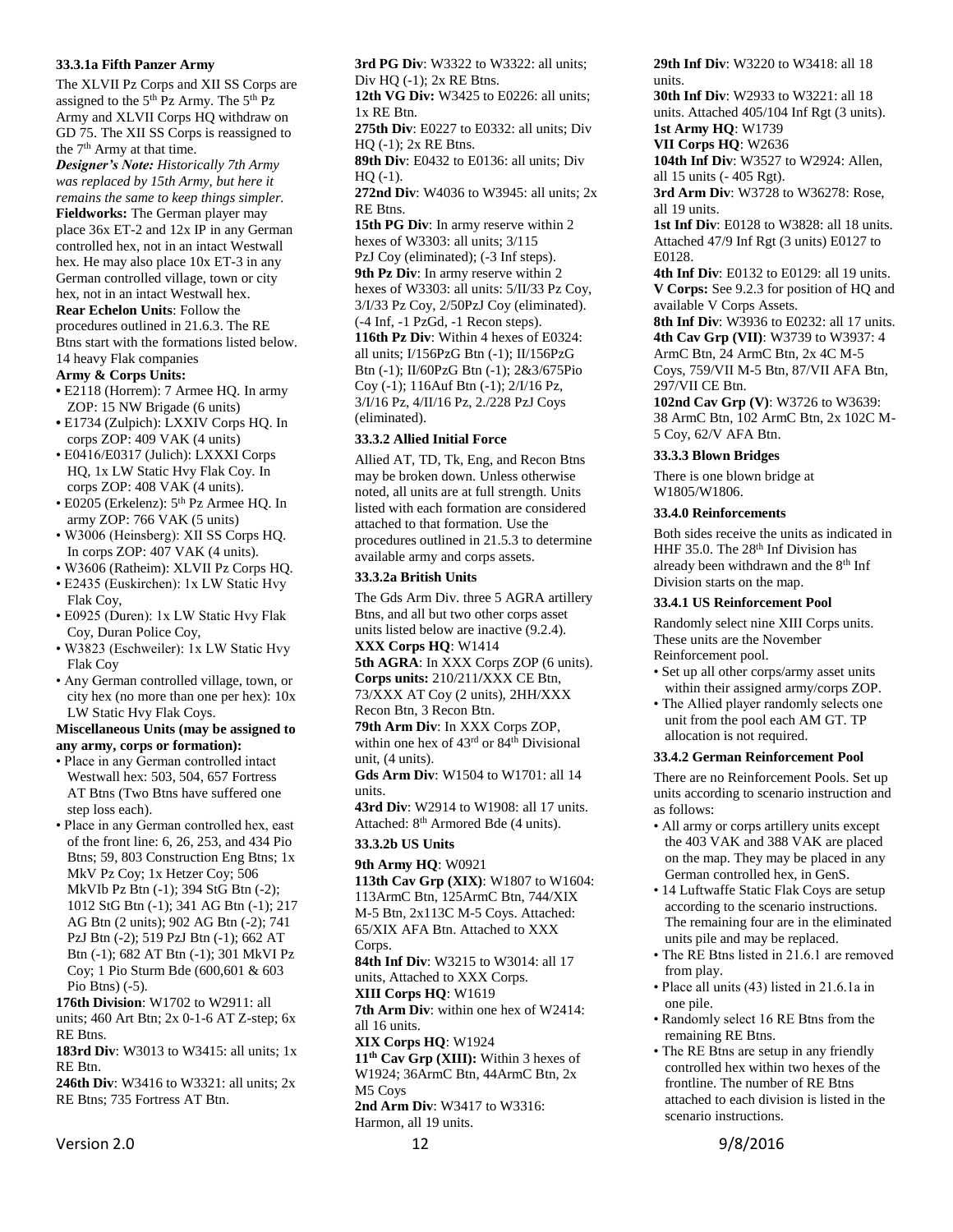#### <span id="page-11-0"></span>**33.3.1a Fifth Panzer Army**

The XLVII Pz Corps and XII SS Corps are assigned to the 5<sup>th</sup> Pz Army. The 5<sup>th</sup> Pz Army and XLVII Corps HQ withdraw on GD 75. The XII SS Corps is reassigned to the 7<sup>th</sup> Army at that time.

*Designer's Note: Historically 7th Army was replaced by 15th Army, but here it remains the same to keep things simpler.* **Fieldworks:** The German player may place 36x ET-2 and 12x IP in any German controlled hex, not in an intact Westwall hex. He may also place 10x ET-3 in any German controlled village, town or city hex, not in an intact Westwall hex. **Rear Echelon Units**: Follow the procedures outlined in 21.6.3. The RE Btns start with the formations listed below.

14 heavy Flak companies

# **Army & Corps Units:**

- E2118 (Horrem): 7 Armee HQ. In army ZOP: 15 NW Brigade (6 units)
- **•** E1734 (Zulpich): LXXIV Corps HQ. In corps ZOP: 409 VAK (4 units)
- E0416/E0317 (Julich): LXXXI Corps HQ, 1x LW Static Hvy Flak Coy. In corps ZOP: 408 VAK (4 units).
- E0205 (Erkelenz): 5th Pz Armee HQ. In army ZOP: 766 VAK (5 units)
- W3006 (Heinsberg): XII SS Corps HQ. In corps ZOP: 407 VAK (4 units).
- W3606 (Ratheim): XLVII Pz Corps HQ.
- E2435 (Euskirchen): 1x LW Static Hvy Flak Coy,
- E0925 (Duren): 1x LW Static Hvy Flak Coy, Duran Police Coy,
- W3823 (Eschweiler): 1x LW Static Hvy Flak Coy
- Any German controlled village, town, or city hex (no more than one per hex): 10x LW Static Hvy Flak Coys.

#### **Miscellaneous Units (may be assigned to any army, corps or formation):**

- Place in any German controlled intact Westwall hex: 503, 504, 657 Fortress AT Btns (Two Btns have suffered one step loss each).
- Place in any German controlled hex, east of the front line: 6, 26, 253, and 434 Pio Btns; 59, 803 Construction Eng Btns; 1x MkV Pz Coy; 1x Hetzer Coy; 506 MkVIb Pz Btn (-1); 394 StG Btn (-2); 1012 StG Btn (-1); 341 AG Btn (-1); 217 AG Btn (2 units); 902 AG Btn (-2); 741 PzJ Btn (-2); 519 PzJ Btn (-1); 662 AT Btn (-1); 682 AT Btn (-1); 301 MkVI Pz Coy; 1 Pio Sturm Bde (600,601 & 603 Pio Btns) (-5).

**176th Division**: W1702 to W2911: all units; 460 Art Btn; 2x 0-1-6 AT Z-step; 6x RE Btns.

**183rd Div**: W3013 to W3415: all units; 1x RE Btn.

**246th Div**: W3416 to W3321: all units; 2x RE Btns; 735 Fortress AT Btn.

**3rd PG Div**: W3322 to W3322: all units; Div  $HQ$  (-1);  $2x$  RE Btns.

**12th VG Div:** W3425 to E0226: all units; 1x RE Btn.

**275th Div**: E0227 to E0332: all units; Div HQ (-1); 2x RE Btns.

**89th Div**: E0432 to E0136: all units; Div  $HO(-1)$ .

**272nd Div**: W4036 to W3945: all units; 2x RE Btns.

**15th PG Div**: In army reserve within 2 hexes of W3303: all units; 3/115 PzJ Coy (eliminated); (-3 Inf steps). **9th Pz Div**: In army reserve within 2 hexes of W3303: all units: 5/II/33 Pz Coy, 3/I/33 Pz Coy, 2/50PzJ Coy (eliminated). (-4 Inf, -1 PzGd, -1 Recon steps). **116th Pz Div**: Within 4 hexes of E0324: all units; I/156PzG Btn (-1); II/156PzG Btn (-1); II/60PzG Btn (-1); 2&3/675Pio Coy (-1); 116Auf Btn (-1); 2/I/16 Pz, 3/I/16 Pz, 4/II/16 Pz, 2./228 PzJ Coys (eliminated).

#### <span id="page-11-1"></span>**33.3.2 Allied Initial Force**

Allied AT, TD, Tk, Eng, and Recon Btns may be broken down. Unless otherwise noted, all units are at full strength. Units listed with each formation are considered attached to that formation. Use the procedures outlined in 21.5.3 to determine available army and corps assets.

#### <span id="page-11-2"></span>**33.3.2a British Units**

The Gds Arm Div. three 5 AGRA artillery Btns, and all but two other corps asset units listed below are inactive (9.2.4). **XXX Corps HQ**: W1414

**5th AGRA**: In XXX Corps ZOP (6 units). **Corps units:** 210/211**/**XXX CE Btn, 73/XXX AT Coy (2 units), 2HH/XXX Recon Btn, 3 Recon Btn.

**79th Arm Div**: In XXX Corps ZOP, within one hex of 43<sup>rd</sup> or 84<sup>th</sup> Divisional unit, (4 units).

**Gds Arm Div**: W1504 to W1701: all 14 units.

**43rd Div**: W2914 to W1908: all 17 units. Attached: 8<sup>th</sup> Armored Bde (4 units).

#### <span id="page-11-3"></span>**33.3.2b US Units**

**9th Army HQ**: W0921

**113th Cav Grp (XIX)**: W1807 to W1604: 113ArmC Btn, 125ArmC Btn, 744/XIX M-5 Btn, 2x113C M-5 Coys. Attached: 65/XIX AFA Btn. Attached to XXX Corps.

**84th Inf Div**: W3215 to W3014: all 17 units, Attached to XXX Corps.

**XIII Corps HQ**: W1619 **7th Arm Div**: within one hex of W2414: all 16 units.

**XIX Corps HQ**: W1924

**11th Cav Grp (XIII):** Within 3 hexes of W1924; 36ArmC Btn, 44ArmC Btn, 2x M5 Coys

**2nd Arm Div**: W3417 to W3316:

Harmon, all 19 units.

**29th Inf Div**: W3220 to W3418: all 18 units.

**30th Inf Div**: W2933 to W3221: all 18 units. Attached 405/104 Inf Rgt (3 units). **1st Army HQ**: W1739

**VII Corps HQ**: W2636

**104th Inf Div**: W3527 to W2924: Allen, all 15 units (- 405 Rgt).

**3rd Arm Div**: W3728 to W36278: Rose, all 19 units.

**1st Inf Div**: E0128 to W3828: all 18 units. Attached 47/9 Inf Rgt (3 units) E0127 to E0128.

**4th Inf Div**: E0132 to E0129: all 19 units. **V Corps:** See 9.2.3 for position of HQ and available V Corps Assets.

**8th Inf Div**: W3936 to E0232: all 17 units. **4th Cav Grp (VII)**: W3739 to W3937: 4 ArmC Btn, 24 ArmC Btn, 2x 4C M-5 Coys, 759/VII M-5 Btn, 87/VII AFA Btn,

297/VII CE Btn. **102nd Cav Grp (V)**: W3726 to W3639: 38 ArmC Btn, 102 ArmC Btn, 2x 102C M-5 Coy, 62/V AFA Btn.

#### <span id="page-11-4"></span>**33.3.3 Blown Bridges**

There is one blown bridge at W1805/W1806.

#### <span id="page-11-5"></span>**33.4.0 Reinforcements**

Both sides receive the units as indicated in HHF 35.0. The 28<sup>th</sup> Inf Division has already been withdrawn and the 8<sup>th</sup> Inf Division starts on the map.

#### <span id="page-11-6"></span>**33.4.1 US Reinforcement Pool**

Randomly select nine XIII Corps units. These units are the November Reinforcement pool.

- Set up all other corps/army asset units within their assigned army/corps ZOP.
- The Allied player randomly selects one unit from the pool each AM GT. TP allocation is not required.

#### <span id="page-11-7"></span>**33.4.2 German Reinforcement Pool**

There are no Reinforcement Pools. Set up units according to scenario instruction and as follows:

- All army or corps artillery units except the 403 VAK and 388 VAK are placed on the map. They may be placed in any German controlled hex, in GenS.
- 14 Luftwaffe Static Flak Coys are setup according to the scenario instructions. The remaining four are in the eliminated units pile and may be replaced.
- The RE Btns listed in 21.6.1 are removed from play.
- Place all units (43) listed in 21.6.1a in one pile.
- Randomly select 16 RE Btns from the remaining RE Btns.
- The RE Btns are setup in any friendly controlled hex within two hexes of the frontline. The number of RE Btns attached to each division is listed in the scenario instructions.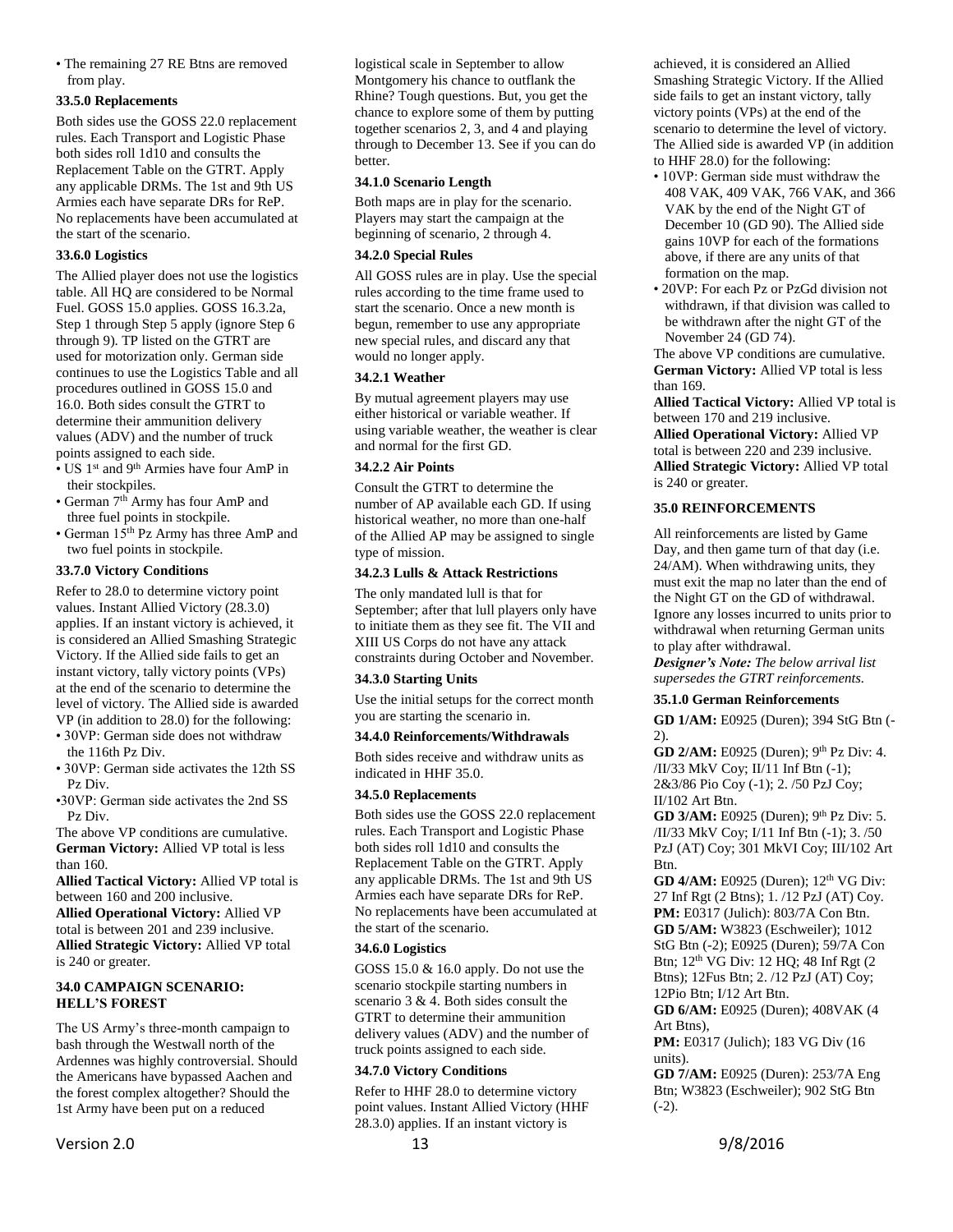• The remaining 27 RE Btns are removed from play.

## <span id="page-12-0"></span>**33.5.0 Replacements**

Both sides use the GOSS 22.0 replacement rules. Each Transport and Logistic Phase both sides roll 1d10 and consults the Replacement Table on the GTRT. Apply any applicable DRMs. The 1st and 9th US Armies each have separate DRs for ReP. No replacements have been accumulated at the start of the scenario.

# <span id="page-12-1"></span>**33.6.0 Logistics**

The Allied player does not use the logistics table. All HQ are considered to be Normal Fuel. GOSS 15.0 applies. GOSS 16.3.2a, Step 1 through Step 5 apply (ignore Step 6 through 9). TP listed on the GTRT are used for motorization only. German side continues to use the Logistics Table and all procedures outlined in GOSS 15.0 and 16.0. Both sides consult the GTRT to determine their ammunition delivery values (ADV) and the number of truck points assigned to each side.

- US 1<sup>st</sup> and 9<sup>th</sup> Armies have four AmP in their stockpiles.
- German 7<sup>th</sup> Army has four AmP and three fuel points in stockpile.
- German 15th Pz Army has three AmP and two fuel points in stockpile.

# <span id="page-12-2"></span>**33.7.0 Victory Conditions**

Refer to 28.0 to determine victory point values. Instant Allied Victory (28.3.0) applies. If an instant victory is achieved, it is considered an Allied Smashing Strategic Victory. If the Allied side fails to get an instant victory, tally victory points (VPs) at the end of the scenario to determine the level of victory. The Allied side is awarded VP (in addition to 28.0) for the following:

- 30VP: German side does not withdraw the 116th Pz Div.
- 30VP: German side activates the 12th SS Pz Div.
- •30VP: German side activates the 2nd SS Pz Div.

The above VP conditions are cumulative. **German Victory:** Allied VP total is less than 160.

**Allied Tactical Victory:** Allied VP total is between 160 and 200 inclusive.

**Allied Operational Victory:** Allied VP total is between 201 and 239 inclusive. **Allied Strategic Victory:** Allied VP total is 240 or greater.

#### <span id="page-12-3"></span>**34.0 CAMPAIGN SCENARIO: HELL'S FOREST**

The US Army's three-month campaign to bash through the Westwall north of the Ardennes was highly controversial. Should the Americans have bypassed Aachen and the forest complex altogether? Should the 1st Army have been put on a reduced

Version 2.0 13 13 9/8/2016

logistical scale in September to allow Montgomery his chance to outflank the Rhine? Tough questions. But, you get the chance to explore some of them by putting together scenarios 2, 3, and 4 and playing through to December 13. See if you can do better.

# <span id="page-12-4"></span>**34.1.0 Scenario Length**

Both maps are in play for the scenario. Players may start the campaign at the beginning of scenario, 2 through 4.

# <span id="page-12-5"></span>**34.2.0 Special Rules**

All GOSS rules are in play. Use the special rules according to the time frame used to start the scenario. Once a new month is begun, remember to use any appropriate new special rules, and discard any that would no longer apply.

# <span id="page-12-6"></span>**34.2.1 Weather**

By mutual agreement players may use either historical or variable weather. If using variable weather, the weather is clear and normal for the first GD.

#### <span id="page-12-7"></span>**34.2.2 Air Points**

Consult the GTRT to determine the number of AP available each GD. If using historical weather, no more than one-half of the Allied AP may be assigned to single type of mission.

## <span id="page-12-8"></span>**34.2.3 Lulls & Attack Restrictions**

The only mandated lull is that for September; after that lull players only have to initiate them as they see fit. The VII and XIII US Corps do not have any attack constraints during October and November.

#### <span id="page-12-9"></span>**34.3.0 Starting Units**

Use the initial setups for the correct month you are starting the scenario in.

# <span id="page-12-10"></span>**34.4.0 Reinforcements/Withdrawals**

Both sides receive and withdraw units as indicated in HHF 35.0.

# <span id="page-12-11"></span>**34.5.0 Replacements**

Both sides use the GOSS 22.0 replacement rules. Each Transport and Logistic Phase both sides roll 1d10 and consults the Replacement Table on the GTRT. Apply any applicable DRMs. The 1st and 9th US Armies each have separate DRs for ReP. No replacements have been accumulated at the start of the scenario.

# <span id="page-12-12"></span>**34.6.0 Logistics**

GOSS 15.0 & 16.0 apply. Do not use the scenario stockpile starting numbers in scenario 3 & 4. Both sides consult the GTRT to determine their ammunition delivery values (ADV) and the number of truck points assigned to each side.

# <span id="page-12-13"></span>**34.7.0 Victory Conditions**

Refer to HHF 28.0 to determine victory point values. Instant Allied Victory (HHF 28.3.0) applies. If an instant victory is

achieved, it is considered an Allied Smashing Strategic Victory. If the Allied side fails to get an instant victory, tally victory points (VPs) at the end of the scenario to determine the level of victory. The Allied side is awarded VP (in addition to HHF 28.0) for the following:

- 10VP: German side must withdraw the 408 VAK, 409 VAK, 766 VAK, and 366 VAK by the end of the Night GT of December 10 (GD 90). The Allied side gains 10VP for each of the formations above, if there are any units of that formation on the map.
- 20VP: For each Pz or PzGd division not withdrawn, if that division was called to be withdrawn after the night GT of the November 24 (GD 74).

The above VP conditions are cumulative. **German Victory:** Allied VP total is less than 169.

**Allied Tactical Victory:** Allied VP total is between 170 and 219 inclusive. **Allied Operational Victory:** Allied VP total is between 220 and 239 inclusive. **Allied Strategic Victory:** Allied VP total is 240 or greater.

# <span id="page-12-14"></span>**35.0 REINFORCEMENTS**

All reinforcements are listed by Game Day, and then game turn of that day (i.e. 24/AM). When withdrawing units, they must exit the map no later than the end of the Night GT on the GD of withdrawal. Ignore any losses incurred to units prior to withdrawal when returning German units to play after withdrawal.

*Designer's Note: The below arrival list supersedes the GTRT reinforcements.*

#### <span id="page-12-15"></span>**35.1.0 German Reinforcements**

**GD 1/AM:** E0925 (Duren); 394 StG Btn (- 2).

**GD 2/AM:** E0925 (Duren); 9<sup>th</sup> Pz Div: 4. /II/33 MkV Coy; II/11 Inf Btn (-1); 2&3/86 Pio Coy (-1); 2. /50 PzJ Coy; II/102 Art Btn.

**GD 3/AM:** E0925 (Duren); 9<sup>th</sup> Pz Div: 5. /II/33 MkV Coy; I/11 Inf Btn (-1); 3. /50 PzJ (AT) Coy; 301 MkVI Coy; III/102 Art Btn.

**GD 4/AM:** E0925 (Duren); 12<sup>th</sup> VG Div: 27 Inf Rgt (2 Btns); 1. /12 PzJ (AT) Coy. **PM:** E0317 (Julich): 803/7A Con Btn. **GD 5/AM:** W3823 (Eschweiler); 1012 StG Btn (-2); E0925 (Duren); 59/7A Con Btn; 12<sup>th</sup> VG Div: 12 HQ; 48 Inf Rgt (2) Btns); 12Fus Btn; 2. /12 PzJ (AT) Coy; 12Pio Btn; I/12 Art Btn.

**GD 6/AM:** E0925 (Duren); 408VAK (4 Art Btns),

**PM:** E0317 (Julich); 183 VG Div (16 units).

**GD 7/AM:** E0925 (Duren): 253/7A Eng Btn; W3823 (Eschweiler); 902 StG Btn  $(-2)$ .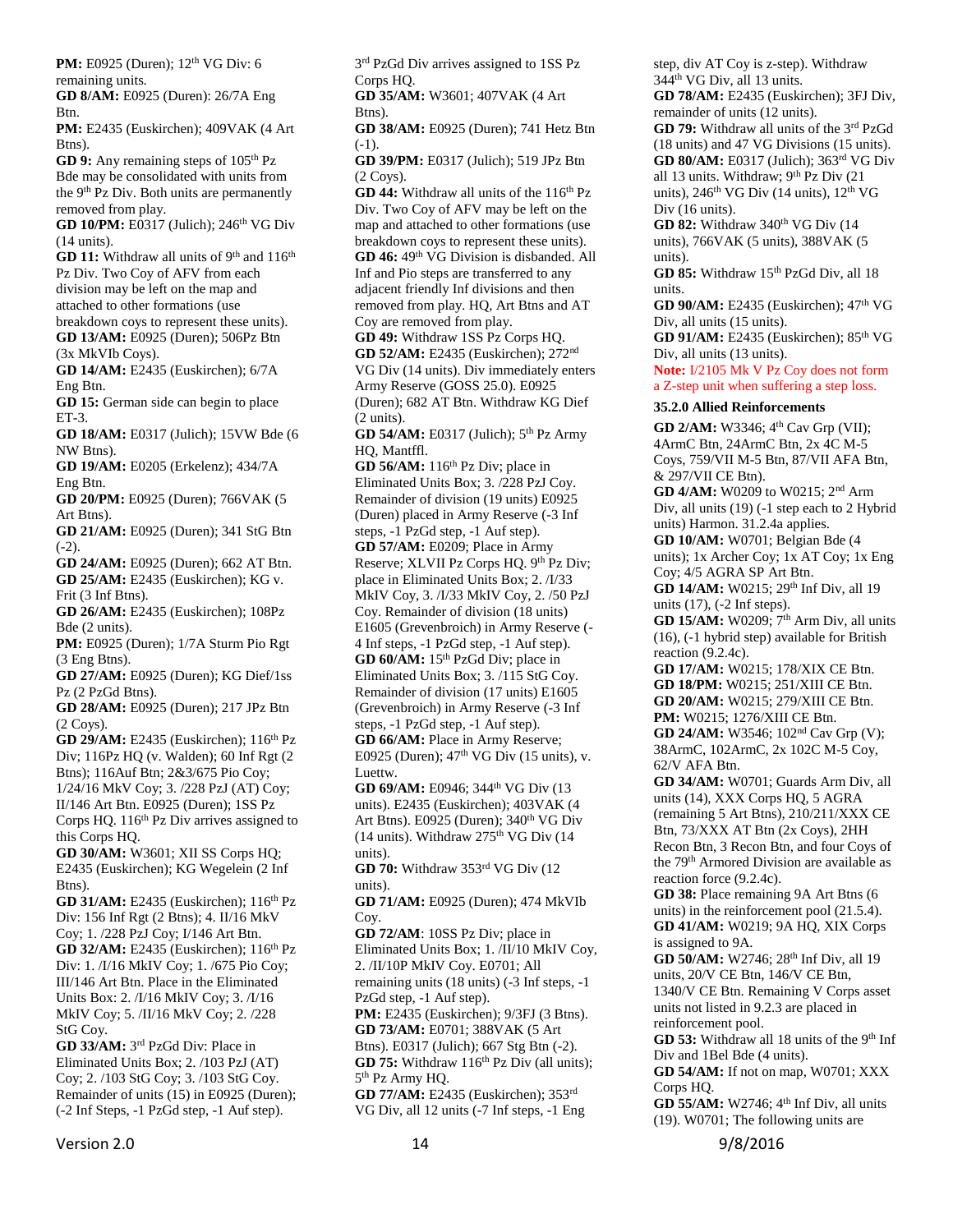**PM:** E0925 (Duren); 12<sup>th</sup> VG Div: 6 remaining units.

**GD 8/AM:** E0925 (Duren): 26/7A Eng Btn.

**PM:** E2435 (Euskirchen); 409VAK (4 Art Btns).

**GD 9:** Any remaining steps of 105<sup>th</sup> Pz Bde may be consolidated with units from the 9<sup>th</sup> Pz Div. Both units are permanently removed from play.

**GD 10/PM:** E0317 (Julich); 246<sup>th</sup> VG Div (14 units).

**GD 11:** Withdraw all units of 9<sup>th</sup> and 116<sup>th</sup> Pz Div. Two Coy of AFV from each division may be left on the map and attached to other formations (use breakdown coys to represent these units).

**GD 13/AM:** E0925 (Duren); 506Pz Btn (3x MkVIb Coys).

**GD 14/AM:** E2435 (Euskirchen); 6/7A Eng Btn.

**GD 15:** German side can begin to place ET-3.

**GD 18/AM:** E0317 (Julich); 15VW Bde (6 NW Btns).

**GD 19/AM:** E0205 (Erkelenz); 434/7A Eng Btn.

**GD 20/PM:** E0925 (Duren); 766VAK (5 Art Btns).

**GD 21/AM:** E0925 (Duren); 341 StG Btn  $(-2)$ .

**GD 24/AM:** E0925 (Duren); 662 AT Btn. **GD 25/AM:** E2435 (Euskirchen); KG v. Frit (3 Inf Btns).

**GD 26/AM:** E2435 (Euskirchen); 108Pz Bde (2 units).

**PM:** E0925 (Duren); 1/7A Sturm Pio Rgt (3 Eng Btns).

**GD 27/AM:** E0925 (Duren); KG Dief/1ss Pz (2 PzGd Btns).

**GD 28/AM:** E0925 (Duren); 217 JPz Btn (2 Coys).

**GD 29/AM:** E2435 (Euskirchen): 116<sup>th</sup> Pz Div; 116Pz HQ (v. Walden); 60 Inf Rgt (2 Btns); 116Auf Btn; 2&3/675 Pio Coy; 1/24/16 MkV Coy; 3. /228 PzJ (AT) Coy; II/146 Art Btn. E0925 (Duren); 1SS Pz Corps HQ. 116<sup>th</sup> Pz Div arrives assigned to this Corps HQ.

**GD 30/AM:** W3601; XII SS Corps HQ; E2435 (Euskirchen); KG Wegelein (2 Inf Btns).

**GD 31/AM:** E2435 (Euskirchen); 116<sup>th</sup> Pz Div: 156 Inf Rgt (2 Btns); 4. II/16 MkV Coy; 1. /228 PzJ Coy; I/146 Art Btn. **GD 32/AM:** E2435 (Euskirchen); 116<sup>th</sup> Pz Div: 1. /I/16 MkIV Coy; 1. /675 Pio Coy; III/146 Art Btn. Place in the Eliminated Units Box: 2. /I/16 MkIV Coy; 3. /I/16 MkIV Coy; 5. /II/16 MkV Coy; 2. /228 StG Coy.

**GD 33/AM:** 3 rd PzGd Div: Place in Eliminated Units Box; 2. /103 PzJ (AT) Coy; 2. /103 StG Coy; 3. /103 StG Coy. Remainder of units (15) in E0925 (Duren); (-2 Inf Steps, -1 PzGd step, -1 Auf step).

3<sup>rd</sup> PzGd Div arrives assigned to 1SS Pz Corps HQ.

**GD 35/AM:** W3601; 407VAK (4 Art Btns).

**GD 38/AM:** E0925 (Duren); 741 Hetz Btn (-1).

**GD 39/PM:** E0317 (Julich); 519 JPz Btn (2 Coys).

**GD 44:** Withdraw all units of the 116<sup>th</sup> Pz Div. Two Coy of AFV may be left on the map and attached to other formations (use breakdown coys to represent these units). GD 46: 49<sup>th</sup> VG Division is disbanded. All Inf and Pio steps are transferred to any adjacent friendly Inf divisions and then removed from play. HQ, Art Btns and AT Coy are removed from play.

**GD 49:** Withdraw 1SS Pz Corps HQ. **GD 52/AM:** E2435 (Euskirchen); 272nd VG Div (14 units). Div immediately enters Army Reserve (GOSS 25.0). E0925 (Duren); 682 AT Btn. Withdraw KG Dief (2 units).

**GD 54/AM:** E0317 (Julich); 5th Pz Army HQ, Mantffl.

**GD 56/AM:** 116<sup>th</sup> Pz Div; place in Eliminated Units Box; 3. /228 PzJ Coy. Remainder of division (19 units) E0925 (Duren) placed in Army Reserve (-3 Inf

steps, -1 PzGd step, -1 Auf step). **GD 57/AM:** E0209; Place in Army Reserve; XLVII Pz Corps HQ. 9th Pz Div; place in Eliminated Units Box; 2. /I/33 MkIV Coy, 3. /I/33 MkIV Coy, 2. /50 PzJ Coy. Remainder of division (18 units) E1605 (Grevenbroich) in Army Reserve (- 4 Inf steps, -1 PzGd step, -1 Auf step). **GD 60/AM:** 15<sup>th</sup> PzGd Div; place in Eliminated Units Box; 3. /115 StG Coy. Remainder of division (17 units) E1605

(Grevenbroich) in Army Reserve (-3 Inf steps, -1 PzGd step, -1 Auf step). **GD 66/AM:** Place in Army Reserve; E0925 (Duren);  $47<sup>th</sup>$  VG Div (15 units), v. Luettw.

**GD 69/AM:** E0946; 344<sup>th</sup> VG Div (13) units). E2435 (Euskirchen); 403VAK (4 Art Btns). E0925 (Duren); 340<sup>th</sup> VG Div (14 units). Withdraw  $275<sup>th</sup>$  VG Div (14 units).

**GD 70:** Withdraw 353rd VG Div (12 units).

**GD 71/AM:** E0925 (Duren); 474 MkVIb Coy.

**GD 72/AM**: 10SS Pz Div; place in Eliminated Units Box; 1. /II/10 MkIV Coy, 2. /II/10P MkIV Coy. E0701; All remaining units (18 units) (-3 Inf steps, -1 PzGd step, -1 Auf step). **PM:** E2435 (Euskirchen); 9/3FJ (3 Btns).

**GD 73/AM:** E0701; 388VAK (5 Art Btns). E0317 (Julich); 667 Stg Btn (-2). **GD 75:** Withdraw  $116<sup>th</sup>$  Pz Div (all units); 5<sup>th</sup> Pz Army HQ.

**GD 77/AM:** E2435 (Euskirchen); 353rd VG Div, all 12 units (-7 Inf steps, -1 Eng

step, div AT Coy is z-step). Withdraw 344th VG Div, all 13 units.

**GD 78/AM:** E2435 (Euskirchen); 3FJ Div, remainder of units (12 units).

**GD 79:** Withdraw all units of the 3rd PzGd (18 units) and 47 VG Divisions (15 units). **GD 80/AM:** E0317 (Julich); 363rd VG Div all 13 units. Withdraw; 9th Pz Div (21 units),  $246<sup>th</sup>$  VG Div (14 units),  $12<sup>th</sup>$  VG Div (16 units).

**GD 82:** Withdraw 340<sup>th</sup> VG Div (14 units), 766VAK (5 units), 388VAK (5 units).

GD 85: Withdraw 15<sup>th</sup> PzGd Div, all 18 units.

**GD 90/AM:** E2435 (Euskirchen); 47<sup>th</sup> VG Div, all units (15 units).

**GD 91/AM:** E2435 (Euskirchen); 85th VG Div, all units (13 units).

**Note:** I/2105 Mk V Pz Coy does not form a Z-step unit when suffering a step loss.

#### <span id="page-13-0"></span>**35.2.0 Allied Reinforcements**

**GD 2/AM:** W3346; 4<sup>th</sup> Cav Grp (VII); 4ArmC Btn, 24ArmC Btn, 2x 4C M-5 Coys, 759/VII M-5 Btn, 87/VII AFA Btn, & 297/VII CE Btn).

**GD 4/AM:** W0209 to W0215; 2nd Arm Div, all units (19) (-1 step each to 2 Hybrid units) Harmon. 31.2.4a applies.

**GD 10/AM:** W0701; Belgian Bde (4 units); 1x Archer Coy; 1x AT Coy; 1x Eng Coy; 4/5 AGRA SP Art Btn.

**GD 14/AM:** W0215; 29<sup>th</sup> Inf Div, all 19 units (17), (-2 Inf steps).

**GD 15/AM:** W0209: 7<sup>th</sup> Arm Div, all units (16), (-1 hybrid step) available for British reaction (9.2.4c).

**GD 17/AM:** W0215; 178/XIX CE Btn. **GD 18/PM:** W0215; 251/XIII CE Btn. **GD 20/AM:** W0215; 279/XIII CE Btn. **PM:** W0215; 1276/XIII CE Btn.

**GD 24/AM:** W3546; 102nd Cav Grp (V); 38ArmC, 102ArmC, 2x 102C M-5 Coy, 62/V AFA Btn.

**GD 34/AM:** W0701; Guards Arm Div, all units (14), XXX Corps HQ, 5 AGRA (remaining 5 Art Btns), 210/211/XXX CE Btn, 73/XXX AT Btn (2x Coys), 2HH Recon Btn, 3 Recon Btn, and four Coys of the 79<sup>th</sup> Armored Division are available as reaction force (9.2.4c).

**GD 38:** Place remaining 9A Art Btns (6 units) in the reinforcement pool (21.5.4). **GD 41/AM:** W0219; 9A HQ, XIX Corps is assigned to 9A.

**GD 50/AM:** W2746; 28th Inf Div, all 19 units, 20/V CE Btn, 146/V CE Btn, 1340/V CE Btn. Remaining V Corps asset units not listed in 9.2.3 are placed in reinforcement pool.

GD 53: Withdraw all 18 units of the 9<sup>th</sup> Inf Div and 1Bel Bde (4 units).

**GD 54/AM:** If not on map, W0701; XXX Corps HQ.

**GD 55/AM:** W2746; 4<sup>th</sup> Inf Div, all units (19). W0701; The following units are